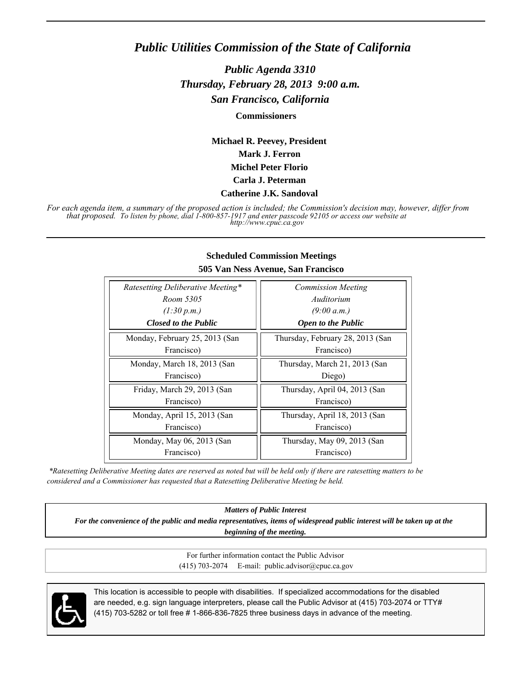## *Public Utilities Commission of the State of California*

*Public Agenda 3310 Thursday, February 28, 2013 9:00 a.m. San Francisco, California*

**Commissioners**

**Michael R. Peevey, President Mark J. Ferron Michel Peter Florio Carla J. Peterman**

#### **Catherine J.K. Sandoval**

*For each agenda item, a summary of the proposed action is included; the Commission's decision may, however, differ from that proposed. To listen by phone, dial 1-800-857-1917 and enter passcode 92105 or access our website at http://www.cpuc.ca.gov*

| 505 Van Ness Avenue, San Francisco |                                  |
|------------------------------------|----------------------------------|
| Ratesetting Deliberative Meeting*  | <b>Commission Meeting</b>        |
| Room 5305                          | Auditorium                       |
| (1:30 p.m.)                        | (9:00 a.m.)                      |
| <b>Closed to the Public</b>        | <b>Open to the Public</b>        |
| Monday, February 25, 2013 (San     | Thursday, February 28, 2013 (San |
| Francisco)                         | Francisco)                       |
| Monday, March 18, 2013 (San        | Thursday, March 21, 2013 (San    |
| Francisco)                         | Diego)                           |
| Friday, March 29, 2013 (San        | Thursday, April 04, 2013 (San    |
| Francisco)                         | Francisco)                       |
| Monday, April 15, 2013 (San        | Thursday, April 18, 2013 (San    |
| Francisco)                         | Francisco)                       |
| Monday, May 06, 2013 (San          | Thursday, May 09, 2013 (San      |
| Francisco)                         | Francisco)                       |

#### **Scheduled Commission Meetings**

 *\*Ratesetting Deliberative Meeting dates are reserved as noted but will be held only if there are ratesetting matters to be considered and a Commissioner has requested that a Ratesetting Deliberative Meeting be held.*

*Matters of Public Interest*

*For the convenience of the public and media representatives, items of widespread public interest will be taken up at the beginning of the meeting.*

> For further information contact the Public Advisor (415) 703-2074 E-mail: public.advisor@cpuc.ca.gov



This location is accessible to people with disabilities. If specialized accommodations for the disabled are needed, e.g. sign language interpreters, please call the Public Advisor at (415) 703-2074 or TTY# (415) 703-5282 or toll free # 1-866-836-7825 three business days in advance of the meeting.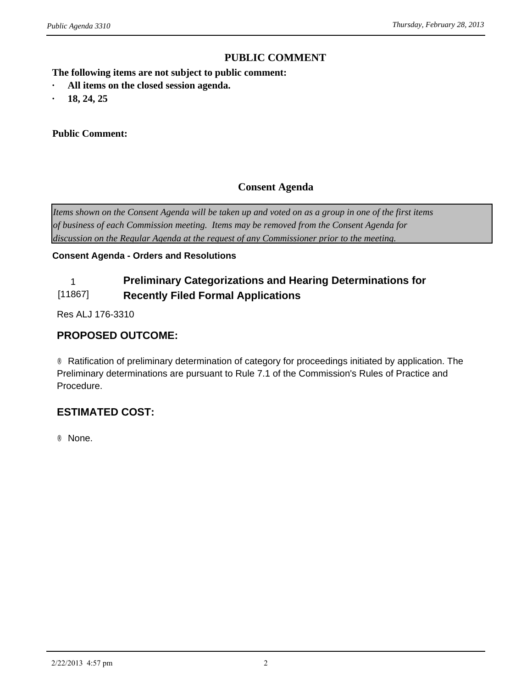### **PUBLIC COMMENT**

**The following items are not subject to public comment:** *ublic Agenda 3310*<br> **PUBLIC CONTINENT CONTINUISE:**<br> **•** All items on the closed session agenda.<br>
• 18, 24, 25

- *ublic Agenda 3310*<br> **The following items are not subject**<br> **•** All items on the closed session a<br> **•** 18, 24, 25<br> **Public Comment:**
- 

#### **Public Comment:**

#### **Consent Agenda**

*Items shown on the Consent Agenda will be taken up and voted on as a group in one of the first items of business of each Commission meeting. Items may be removed from the Consent Agenda for discussion on the Regular Agenda at the request of any Commissioner prior to the meeting.*

#### **Consent Agenda - Orders and Resolutions**

#### 1 **Preliminary Categorizations and Hearing Determinations for**  [11867] **Recently Filed Formal Applications**

Res ALJ 176-3310

#### **PROPOSED OUTCOME:**

® Ratification of preliminary determination of category for proceedings initiated by application. The Preliminary determinations are pursuant to Rule 7.1 of the Commission's Rules of Practice and Procedure.

## **ESTIMATED COST:**

® None.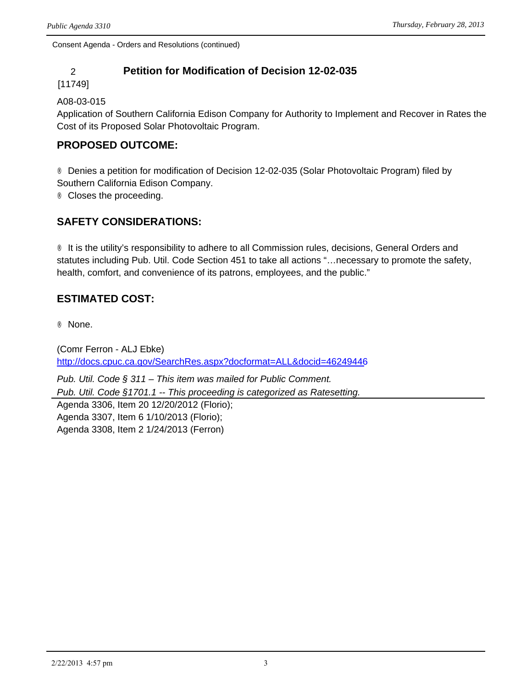## 2 **Petition for Modification of Decision 12-02-035**

#### [11749]

#### A08-03-015

Application of Southern California Edison Company for Authority to Implement and Recover in Rates the Cost of its Proposed Solar Photovoltaic Program.

## **PROPOSED OUTCOME:**

® Denies a petition for modification of Decision 12-02-035 (Solar Photovoltaic Program) filed by Southern California Edison Company.

® Closes the proceeding.

## **SAFETY CONSIDERATIONS:**

® It is the utility's responsibility to adhere to all Commission rules, decisions, General Orders and statutes including Pub. Util. Code Section 451 to take all actions "…necessary to promote the safety, health, comfort, and convenience of its patrons, employees, and the public."

## **ESTIMATED COST:**

® None.

(Comr Ferron - ALJ Ebke) <http://docs.cpuc.ca.gov/SearchRes.aspx?docformat=ALL&docid=46249446>

*Pub. Util. Code § 311 – This item was mailed for Public Comment. Pub. Util. Code §1701.1 -- This proceeding is categorized as Ratesetting.* Agenda 3306, Item 20 12/20/2012 (Florio); Agenda 3307, Item 6 1/10/2013 (Florio); Agenda 3308, Item 2 1/24/2013 (Ferron)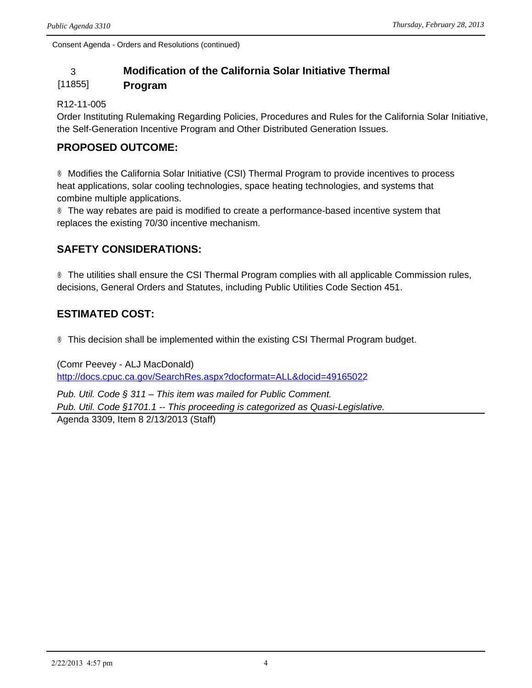## 3 **Modification of the California Solar Initiative Thermal**

#### [11855] **Program**

#### R12-11-005

Order Instituting Rulemaking Regarding Policies, Procedures and Rules for the California Solar Initiative, the Self-Generation Incentive Program and Other Distributed Generation Issues.

## **PROPOSED OUTCOME:**

® Modifies the California Solar Initiative (CSI) Thermal Program to provide incentives to process heat applications, solar cooling technologies, space heating technologies, and systems that combine multiple applications.

® The way rebates are paid is modified to create a performance-based incentive system that replaces the existing 70/30 incentive mechanism.

## **SAFETY CONSIDERATIONS:**

® The utilities shall ensure the CSI Thermal Program complies with all applicable Commission rules, decisions, General Orders and Statutes, including Public Utilities Code Section 451.

## **ESTIMATED COST:**

® This decision shall be implemented within the existing CSI Thermal Program budget.

(Comr Peevey - ALJ MacDonald) <http://docs.cpuc.ca.gov/SearchRes.aspx?docformat=ALL&docid=49165022> *Pub. Util. Code § 311 – This item was mailed for Public Comment.*

*Pub. Util. Code §1701.1 -- This proceeding is categorized as Quasi-Legislative.*

Agenda 3309, Item 8 2/13/2013 (Staff)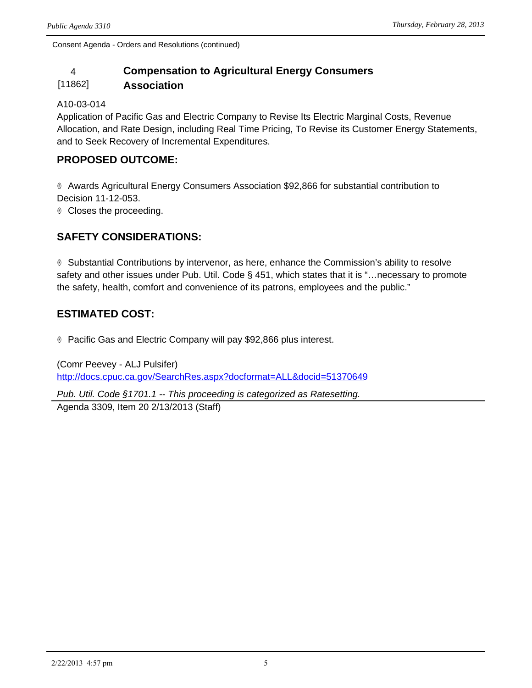## 4 **Compensation to Agricultural Energy Consumers**

#### [11862] **Association**

#### A10-03-014

Application of Pacific Gas and Electric Company to Revise Its Electric Marginal Costs, Revenue Allocation, and Rate Design, including Real Time Pricing, To Revise its Customer Energy Statements, and to Seek Recovery of Incremental Expenditures.

## **PROPOSED OUTCOME:**

® Awards Agricultural Energy Consumers Association \$92,866 for substantial contribution to Decision 11-12-053. ® Closes the proceeding.

## **SAFETY CONSIDERATIONS:**

® Substantial Contributions by intervenor, as here, enhance the Commission's ability to resolve safety and other issues under Pub. Util. Code § 451, which states that it is "…necessary to promote the safety, health, comfort and convenience of its patrons, employees and the public."

## **ESTIMATED COST:**

® Pacific Gas and Electric Company will pay \$92,866 plus interest.

(Comr Peevey - ALJ Pulsifer) <http://docs.cpuc.ca.gov/SearchRes.aspx?docformat=ALL&docid=51370649>

*Pub. Util. Code §1701.1 -- This proceeding is categorized as Ratesetting.*

Agenda 3309, Item 20 2/13/2013 (Staff)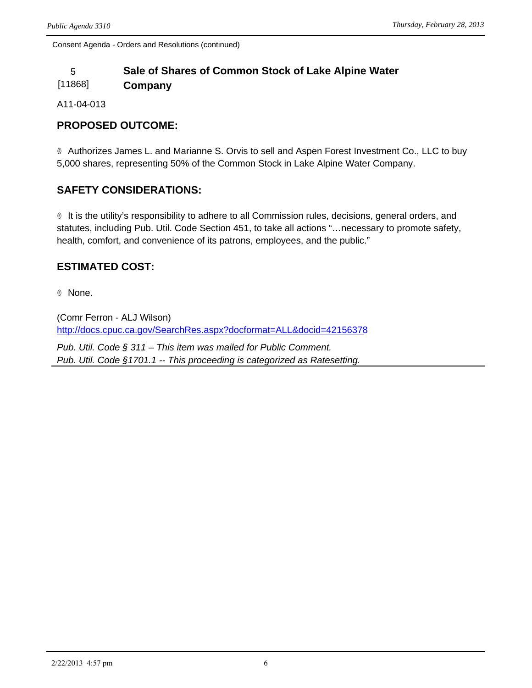## 5 **Sale of Shares of Common Stock of Lake Alpine Water**

[11868] **Company** 

A11-04-013

## **PROPOSED OUTCOME:**

® Authorizes James L. and Marianne S. Orvis to sell and Aspen Forest Investment Co., LLC to buy 5,000 shares, representing 50% of the Common Stock in Lake Alpine Water Company.

## **SAFETY CONSIDERATIONS:**

® It is the utility's responsibility to adhere to all Commission rules, decisions, general orders, and statutes, including Pub. Util. Code Section 451, to take all actions "…necessary to promote safety, health, comfort, and convenience of its patrons, employees, and the public."

## **ESTIMATED COST:**

® None.

(Comr Ferron - ALJ Wilson) <http://docs.cpuc.ca.gov/SearchRes.aspx?docformat=ALL&docid=42156378>

*Pub. Util. Code § 311 – This item was mailed for Public Comment. Pub. Util. Code §1701.1 -- This proceeding is categorized as Ratesetting.*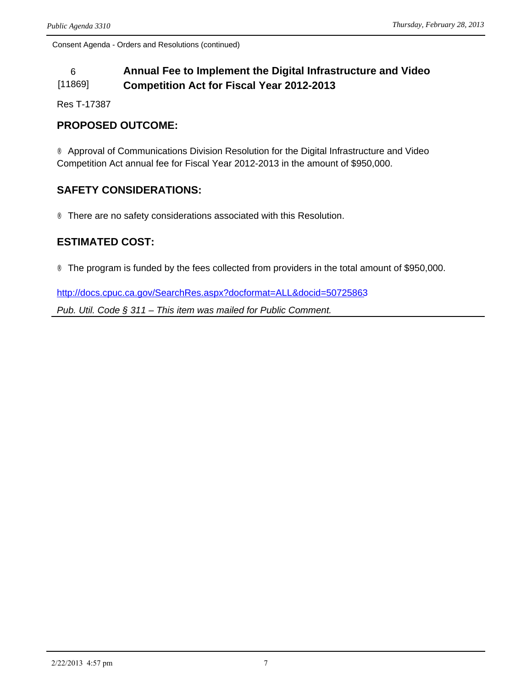#### 6 **Annual Fee to Implement the Digital Infrastructure and Video**  [11869] **Competition Act for Fiscal Year 2012-2013**

Res T-17387

## **PROPOSED OUTCOME:**

® Approval of Communications Division Resolution for the Digital Infrastructure and Video Competition Act annual fee for Fiscal Year 2012-2013 in the amount of \$950,000.

## **SAFETY CONSIDERATIONS:**

® There are no safety considerations associated with this Resolution.

## **ESTIMATED COST:**

® The program is funded by the fees collected from providers in the total amount of \$950,000.

<http://docs.cpuc.ca.gov/SearchRes.aspx?docformat=ALL&docid=50725863>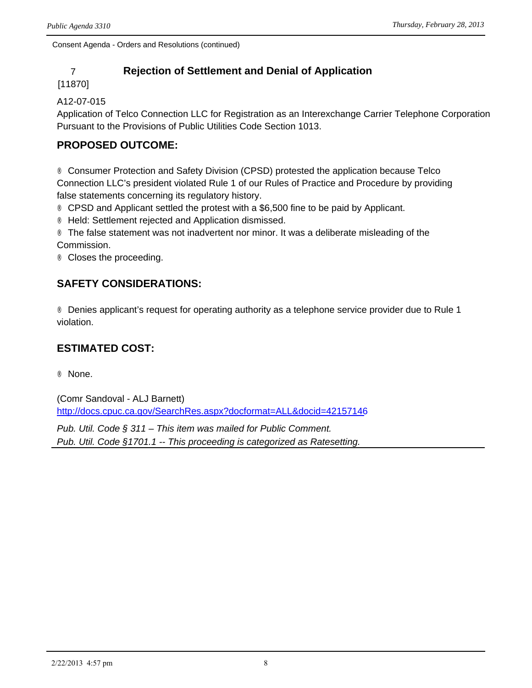## 7 **Rejection of Settlement and Denial of Application**

#### [11870]

#### A12-07-015

Application of Telco Connection LLC for Registration as an Interexchange Carrier Telephone Corporation Pursuant to the Provisions of Public Utilities Code Section 1013.

## **PROPOSED OUTCOME:**

® Consumer Protection and Safety Division (CPSD) protested the application because Telco Connection LLC's president violated Rule 1 of our Rules of Practice and Procedure by providing false statements concerning its regulatory history.

® CPSD and Applicant settled the protest with a \$6,500 fine to be paid by Applicant.

® Held: Settlement rejected and Application dismissed.

® The false statement was not inadvertent nor minor. It was a deliberate misleading of the Commission.

® Closes the proceeding.

## **SAFETY CONSIDERATIONS:**

® Denies applicant's request for operating authority as a telephone service provider due to Rule 1 violation.

## **ESTIMATED COST:**

® None.

(Comr Sandoval - ALJ Barnett) <http://docs.cpuc.ca.gov/SearchRes.aspx?docformat=ALL&docid=42157146>

*Pub. Util. Code § 311 – This item was mailed for Public Comment. Pub. Util. Code §1701.1 -- This proceeding is categorized as Ratesetting.*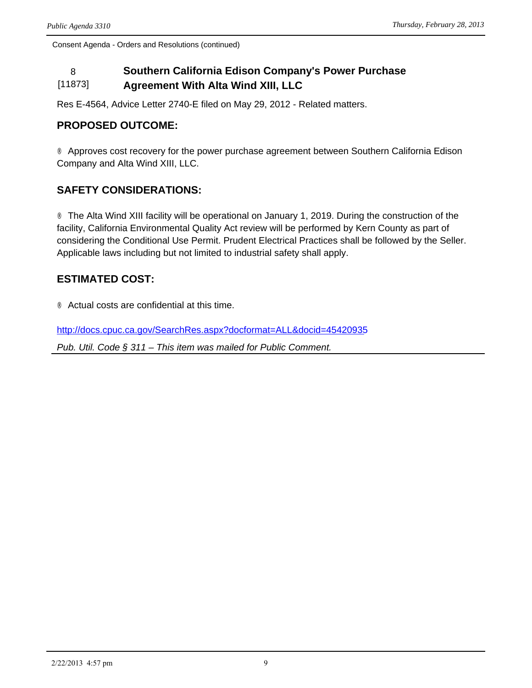#### 8 **Southern California Edison Company's Power Purchase**  [11873] **Agreement With Alta Wind XIII, LLC**

Res E-4564, Advice Letter 2740-E filed on May 29, 2012 - Related matters.

## **PROPOSED OUTCOME:**

® Approves cost recovery for the power purchase agreement between Southern California Edison Company and Alta Wind XIII, LLC.

## **SAFETY CONSIDERATIONS:**

® The Alta Wind XIII facility will be operational on January 1, 2019. During the construction of the facility, California Environmental Quality Act review will be performed by Kern County as part of considering the Conditional Use Permit. Prudent Electrical Practices shall be followed by the Seller. Applicable laws including but not limited to industrial safety shall apply.

## **ESTIMATED COST:**

® Actual costs are confidential at this time.

<http://docs.cpuc.ca.gov/SearchRes.aspx?docformat=ALL&docid=45420935>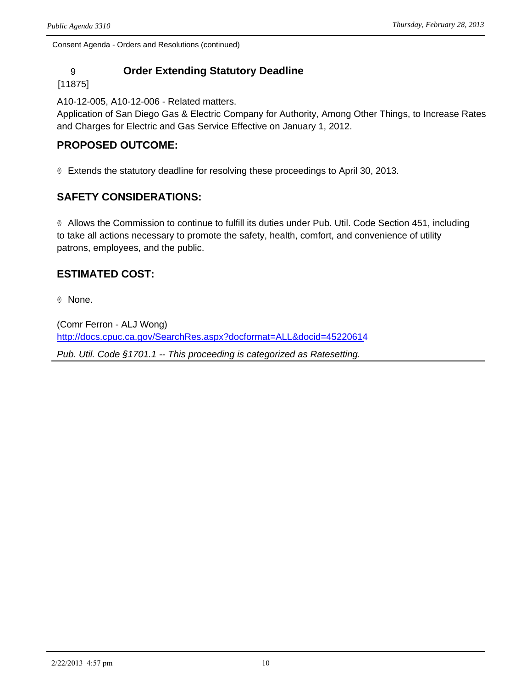## 9 **Order Extending Statutory Deadline**

#### [11875]

A10-12-005, A10-12-006 - Related matters.

Application of San Diego Gas & Electric Company for Authority, Among Other Things, to Increase Rates and Charges for Electric and Gas Service Effective on January 1, 2012.

### **PROPOSED OUTCOME:**

® Extends the statutory deadline for resolving these proceedings to April 30, 2013.

## **SAFETY CONSIDERATIONS:**

® Allows the Commission to continue to fulfill its duties under Pub. Util. Code Section 451, including to take all actions necessary to promote the safety, health, comfort, and convenience of utility patrons, employees, and the public.

## **ESTIMATED COST:**

® None.

(Comr Ferron - ALJ Wong) <http://docs.cpuc.ca.gov/SearchRes.aspx?docformat=ALL&docid=45220614> *Pub. Util. Code §1701.1 -- This proceeding is categorized as Ratesetting.*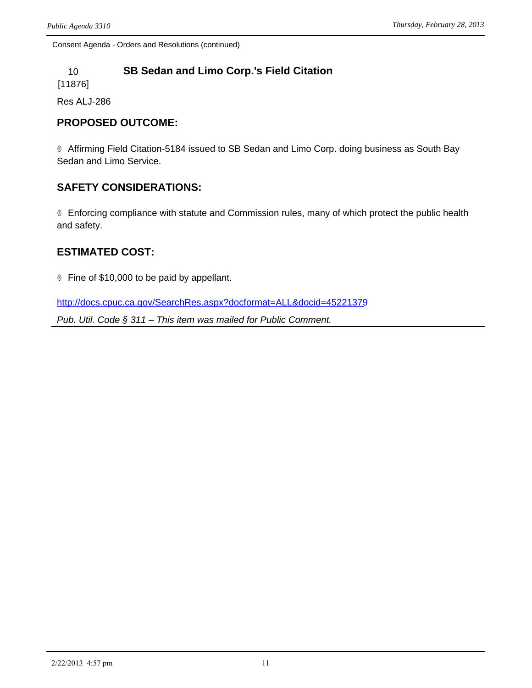## 10 **SB Sedan and Limo Corp.'s Field Citation**

[11876]

Res ALJ-286

### **PROPOSED OUTCOME:**

® Affirming Field Citation-5184 issued to SB Sedan and Limo Corp. doing business as South Bay Sedan and Limo Service.

## **SAFETY CONSIDERATIONS:**

® Enforcing compliance with statute and Commission rules, many of which protect the public health and safety.

#### **ESTIMATED COST:**

® Fine of \$10,000 to be paid by appellant.

<http://docs.cpuc.ca.gov/SearchRes.aspx?docformat=ALL&docid=45221379>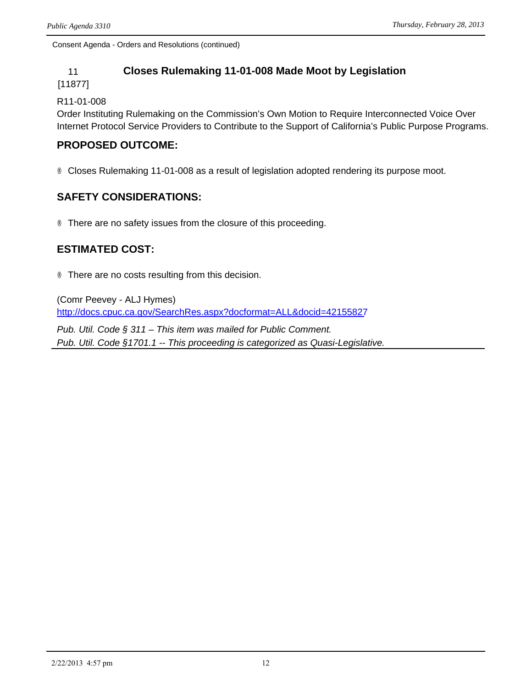### 11 **Closes Rulemaking 11-01-008 Made Moot by Legislation**

[11877]

#### R11-01-008

Order Instituting Rulemaking on the Commission's Own Motion to Require Interconnected Voice Over Internet Protocol Service Providers to Contribute to the Support of California's Public Purpose Programs.

## **PROPOSED OUTCOME:**

® Closes Rulemaking 11-01-008 as a result of legislation adopted rendering its purpose moot.

## **SAFETY CONSIDERATIONS:**

® There are no safety issues from the closure of this proceeding.

## **ESTIMATED COST:**

® There are no costs resulting from this decision.

(Comr Peevey - ALJ Hymes) <http://docs.cpuc.ca.gov/SearchRes.aspx?docformat=ALL&docid=42155827>

*Pub. Util. Code § 311 – This item was mailed for Public Comment. Pub. Util. Code §1701.1 -- This proceeding is categorized as Quasi-Legislative.*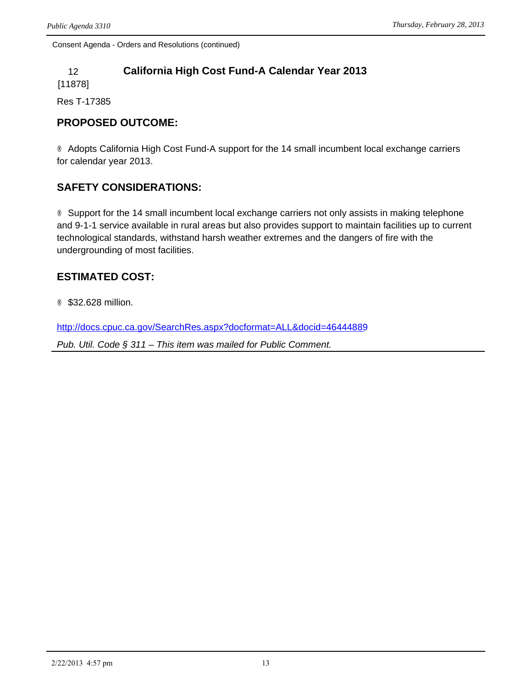## 12 **California High Cost Fund-A Calendar Year 2013**

[11878]

Res T-17385

## **PROPOSED OUTCOME:**

® Adopts California High Cost Fund-A support for the 14 small incumbent local exchange carriers for calendar year 2013.

## **SAFETY CONSIDERATIONS:**

® Support for the 14 small incumbent local exchange carriers not only assists in making telephone and 9-1-1 service available in rural areas but also provides support to maintain facilities up to current technological standards, withstand harsh weather extremes and the dangers of fire with the undergrounding of most facilities.

## **ESTIMATED COST:**

® \$32.628 million.

<http://docs.cpuc.ca.gov/SearchRes.aspx?docformat=ALL&docid=46444889>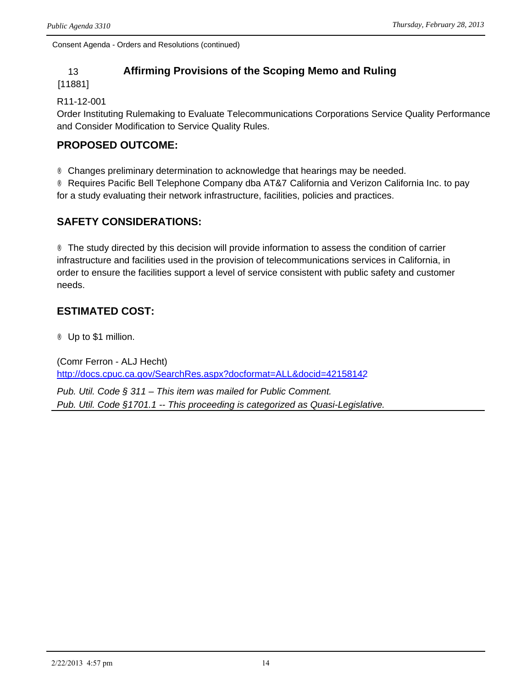## 13 **Affirming Provisions of the Scoping Memo and Ruling**

[11881]

#### R11-12-001

Order Instituting Rulemaking to Evaluate Telecommunications Corporations Service Quality Performance and Consider Modification to Service Quality Rules.

## **PROPOSED OUTCOME:**

® Changes preliminary determination to acknowledge that hearings may be needed.

® Requires Pacific Bell Telephone Company dba AT&V California and Verizon California Inc. to pay for a study evaluating their network infrastructure, facilities, policies and practices.

## **SAFETY CONSIDERATIONS:**

® The study directed by this decision will provide information to assess the condition of carrier infrastructure and facilities used in the provision of telecommunications services in California, in order to ensure the facilities support a level of service consistent with public safety and customer needs.

## **ESTIMATED COST:**

® Up to \$1 million.

(Comr Ferron - ALJ Hecht) <http://docs.cpuc.ca.gov/SearchRes.aspx?docformat=ALL&docid=42158142>

*Pub. Util. Code § 311 – This item was mailed for Public Comment. Pub. Util. Code §1701.1 -- This proceeding is categorized as Quasi-Legislative.*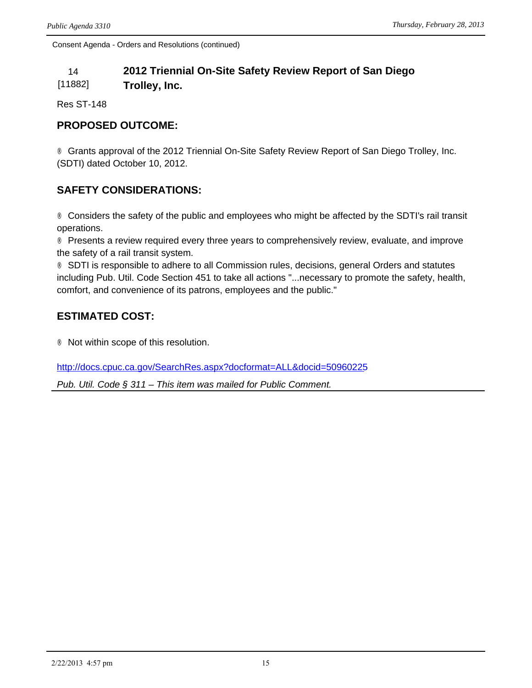## 14 **2012 Triennial On-Site Safety Review Report of San Diego**

[11882] **Trolley, Inc.**

Res ST-148

## **PROPOSED OUTCOME:**

® Grants approval of the 2012 Triennial On-Site Safety Review Report of San Diego Trolley, Inc. (SDTI) dated October 10, 2012.

## **SAFETY CONSIDERATIONS:**

® Considers the safety of the public and employees who might be affected by the SDTI's rail transit operations.

® Presents a review required every three years to comprehensively review, evaluate, and improve the safety of a rail transit system.

® SDTI is responsible to adhere to all Commission rules, decisions, general Orders and statutes including Pub. Util. Code Section 451 to take all actions "...necessary to promote the safety, health, comfort, and convenience of its patrons, employees and the public."

## **ESTIMATED COST:**

® Not within scope of this resolution.

<http://docs.cpuc.ca.gov/SearchRes.aspx?docformat=ALL&docid=50960225>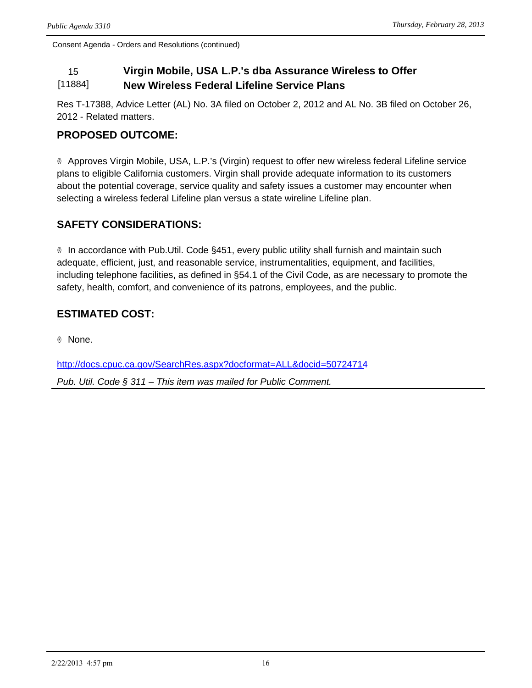#### 15 **Virgin Mobile, USA L.P.'s dba Assurance Wireless to Offer**  [11884] **New Wireless Federal Lifeline Service Plans**

Res T-17388, Advice Letter (AL) No. 3A filed on October 2, 2012 and AL No. 3B filed on October 26, 2012 - Related matters.

## **PROPOSED OUTCOME:**

® Approves Virgin Mobile, USA, L.P.'s (Virgin) request to offer new wireless federal Lifeline service plans to eligible California customers. Virgin shall provide adequate information to its customers about the potential coverage, service quality and safety issues a customer may encounter when selecting a wireless federal Lifeline plan versus a state wireline Lifeline plan.

## **SAFETY CONSIDERATIONS:**

® In accordance with Pub.Util. Code §451, every public utility shall furnish and maintain such adequate, efficient, just, and reasonable service, instrumentalities, equipment, and facilities, including telephone facilities, as defined in §54.1 of the Civil Code, as are necessary to promote the safety, health, comfort, and convenience of its patrons, employees, and the public.

## **ESTIMATED COST:**

® None.

<http://docs.cpuc.ca.gov/SearchRes.aspx?docformat=ALL&docid=50724714>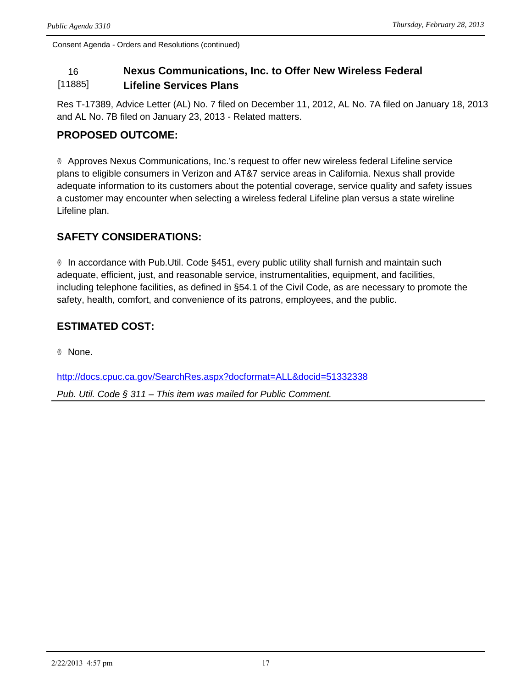#### 16 **Nexus Communications, Inc. to Offer New Wireless Federal**  [11885] **Lifeline Services Plans**

Res T-17389, Advice Letter (AL) No. 7 filed on December 11, 2012, AL No. 7A filed on January 18, 2013 and AL No. 7B filed on January 23, 2013 - Related matters.

## **PROPOSED OUTCOME:**

® Approves Nexus Communications, Inc.'s request to offer new wireless federal Lifeline service plans to eligible consumers in Verizon and AT&7 service areas in California. Nexus shall provide adequate information to its customers about the potential coverage, service quality and safety issues a customer may encounter when selecting a wireless federal Lifeline plan versus a state wireline Lifeline plan.

## **SAFETY CONSIDERATIONS:**

® In accordance with Pub.Util. Code §451, every public utility shall furnish and maintain such adequate, efficient, just, and reasonable service, instrumentalities, equipment, and facilities, including telephone facilities, as defined in §54.1 of the Civil Code, as are necessary to promote the safety, health, comfort, and convenience of its patrons, employees, and the public.

## **ESTIMATED COST:**

® None.

<http://docs.cpuc.ca.gov/SearchRes.aspx?docformat=ALL&docid=51332338>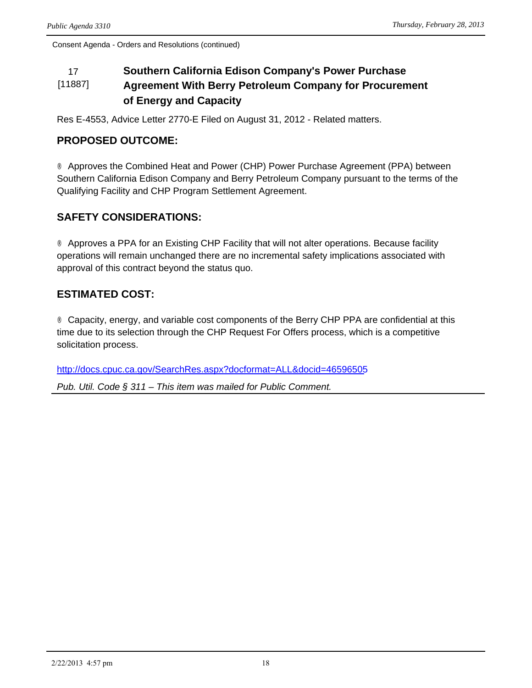#### 17 **Southern California Edison Company's Power Purchase**  [11887] **Agreement With Berry Petroleum Company for Procurement of Energy and Capacity**

Res E-4553, Advice Letter 2770-E Filed on August 31, 2012 - Related matters.

## **PROPOSED OUTCOME:**

® Approves the Combined Heat and Power (CHP) Power Purchase Agreement (PPA) between Southern California Edison Company and Berry Petroleum Company pursuant to the terms of the Qualifying Facility and CHP Program Settlement Agreement.

## **SAFETY CONSIDERATIONS:**

® Approves a PPA for an Existing CHP Facility that will not alter operations. Because facility operations will remain unchanged there are no incremental safety implications associated with approval of this contract beyond the status quo.

## **ESTIMATED COST:**

® Capacity, energy, and variable cost components of the Berry CHP PPA are confidential at this time due to its selection through the CHP Request For Offers process, which is a competitive solicitation process.

<http://docs.cpuc.ca.gov/SearchRes.aspx?docformat=ALL&docid=46596505>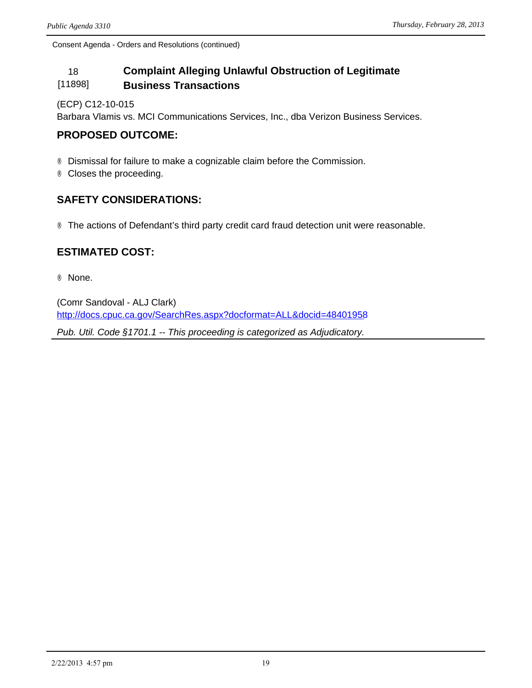#### 18 **Complaint Alleging Unlawful Obstruction of Legitimate**  [11898] **Business Transactions**

#### (ECP) C12-10-015

Barbara Vlamis vs. MCI Communications Services, Inc., dba Verizon Business Services.

## **PROPOSED OUTCOME:**

® Dismissal for failure to make a cognizable claim before the Commission.

® Closes the proceeding.

## **SAFETY CONSIDERATIONS:**

® The actions of Defendant's third party credit card fraud detection unit were reasonable.

## **ESTIMATED COST:**

® None.

(Comr Sandoval - ALJ Clark) <http://docs.cpuc.ca.gov/SearchRes.aspx?docformat=ALL&docid=48401958>

*Pub. Util. Code §1701.1 -- This proceeding is categorized as Adjudicatory.*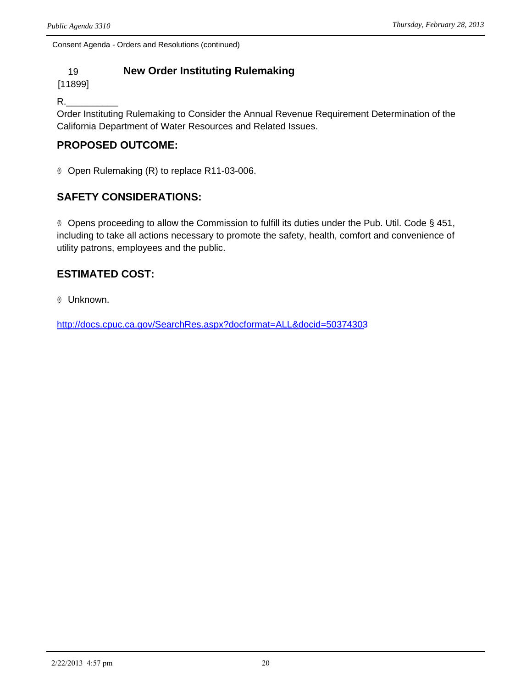## 19 **New Order Instituting Rulemaking**

[11899]

R.\_\_\_\_\_\_\_\_\_\_

Order Instituting Rulemaking to Consider the Annual Revenue Requirement Determination of the California Department of Water Resources and Related Issues.

## **PROPOSED OUTCOME:**

® Open Rulemaking (R) to replace R11-03-006.

## **SAFETY CONSIDERATIONS:**

® Opens proceeding to allow the Commission to fulfill its duties under the Pub. Util. Code § 451, including to take all actions necessary to promote the safety, health, comfort and convenience of utility patrons, employees and the public.

## **ESTIMATED COST:**

® Unknown.

<http://docs.cpuc.ca.gov/SearchRes.aspx?docformat=ALL&docid=50374303>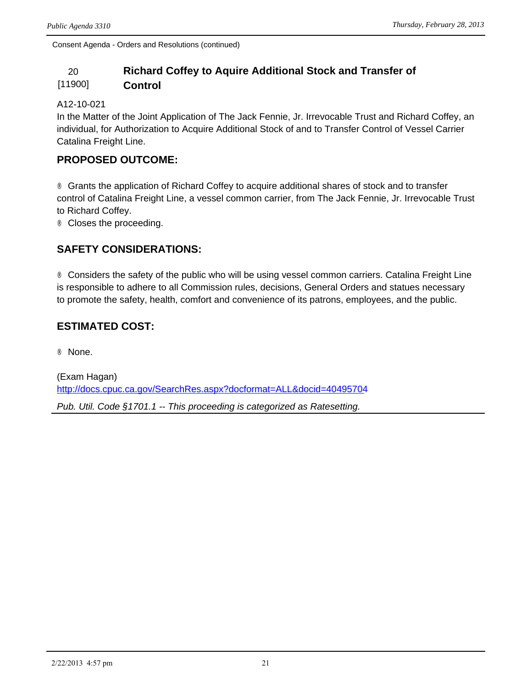#### 20 **Richard Coffey to Aquire Additional Stock and Transfer of**  [11900] **Control**

#### A12-10-021

In the Matter of the Joint Application of The Jack Fennie, Jr. Irrevocable Trust and Richard Coffey, an individual, for Authorization to Acquire Additional Stock of and to Transfer Control of Vessel Carrier Catalina Freight Line.

### **PROPOSED OUTCOME:**

® Grants the application of Richard Coffey to acquire additional shares of stock and to transfer control of Catalina Freight Line, a vessel common carrier, from The Jack Fennie, Jr. Irrevocable Trust to Richard Coffey.

® Closes the proceeding.

## **SAFETY CONSIDERATIONS:**

® Considers the safety of the public who will be using vessel common carriers. Catalina Freight Line is responsible to adhere to all Commission rules, decisions, General Orders and statues necessary to promote the safety, health, comfort and convenience of its patrons, employees, and the public.

## **ESTIMATED COST:**

® None.

(Exam Hagan) <http://docs.cpuc.ca.gov/SearchRes.aspx?docformat=ALL&docid=40495704> *Pub. Util. Code §1701.1 -- This proceeding is categorized as Ratesetting.*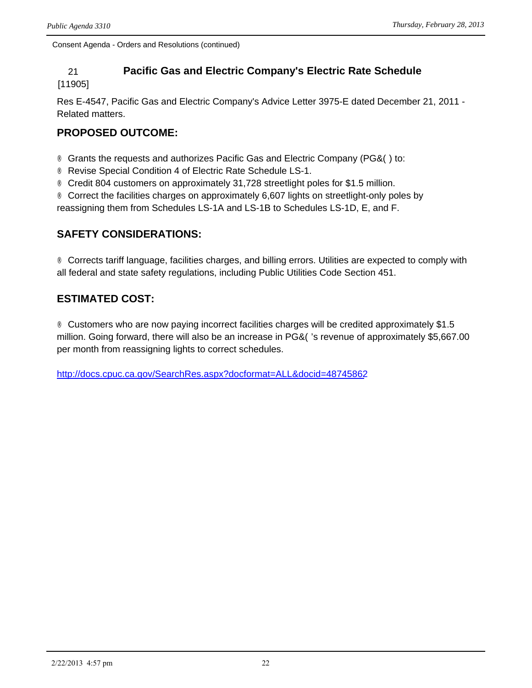## 21 **Pacific Gas and Electric Company's Electric Rate Schedule**

[11905]

Res E-4547, Pacific Gas and Electric Company's Advice Letter 3975-E dated December 21, 2011 - Related matters.

## **PROPOSED OUTCOME:**

 $\circledR$  Grants the requests and authorizes Pacific Gas and Electric Company (PG&O) to:

® Revise Special Condition 4 of Electric Rate Schedule LS-1.

® Credit 804 customers on approximately 31,728 streetlight poles for \$1.5 million.

® Correct the facilities charges on approximately 6,607 lights on streetlight-only poles by

reassigning them from Schedules LS-1A and LS-1B to Schedules LS-1D, E, and F.

## **SAFETY CONSIDERATIONS:**

® Corrects tariff language, facilities charges, and billing errors. Utilities are expected to comply with all federal and state safety regulations, including Public Utilities Code Section 451.

## **ESTIMATED COST:**

® Customers who are now paying incorrect facilities charges will be credited approximately \$1.5 million. Going forward, there will also be an increase in PG&O's revenue of approximately \$5,667.00 per month from reassigning lights to correct schedules.

<http://docs.cpuc.ca.gov/SearchRes.aspx?docformat=ALL&docid=48745862>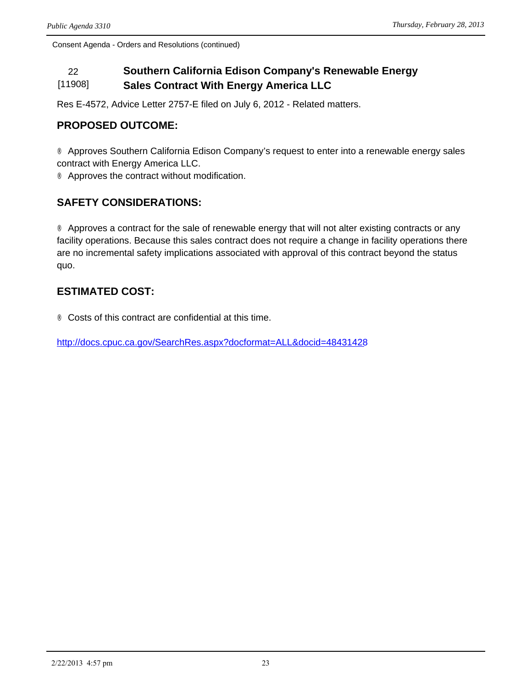#### 22 **Southern California Edison Company's Renewable Energy**  [11908] **Sales Contract With Energy America LLC**

Res E-4572, Advice Letter 2757-E filed on July 6, 2012 - Related matters.

## **PROPOSED OUTCOME:**

® Approves Southern California Edison Company's request to enter into a renewable energy sales contract with Energy America LLC.

® Approves the contract without modification.

## **SAFETY CONSIDERATIONS:**

® Approves a contract for the sale of renewable energy that will not alter existing contracts or any facility operations. Because this sales contract does not require a change in facility operations there are no incremental safety implications associated with approval of this contract beyond the status quo.

## **ESTIMATED COST:**

® Costs of this contract are confidential at this time.

<http://docs.cpuc.ca.gov/SearchRes.aspx?docformat=ALL&docid=48431428>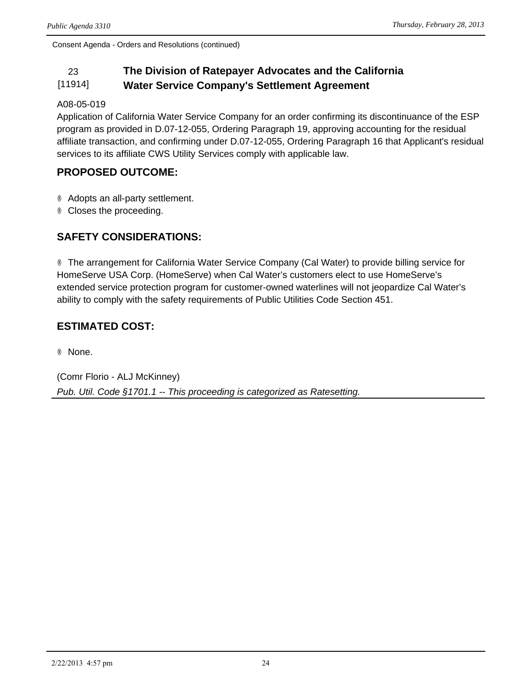#### 23 **The Division of Ratepayer Advocates and the California**  [11914] **Water Service Company's Settlement Agreement**

#### A08-05-019

Application of California Water Service Company for an order confirming its discontinuance of the ESP program as provided in D.07-12-055, Ordering Paragraph 19, approving accounting for the residual affiliate transaction, and confirming under D.07-12-055, Ordering Paragraph 16 that Applicant's residual services to its affiliate CWS Utility Services comply with applicable law.

### **PROPOSED OUTCOME:**

® Adopts an all-party settlement.

® Closes the proceeding.

## **SAFETY CONSIDERATIONS:**

® The arrangement for California Water Service Company (Cal Water) to provide billing service for HomeServe USA Corp. (HomeServe) when Cal Water's customers elect to use HomeServe's extended service protection program for customer-owned waterlines will not jeopardize Cal Water's ability to comply with the safety requirements of Public Utilities Code Section 451.

## **ESTIMATED COST:**

® None.

(Comr Florio - ALJ McKinney) *Pub. Util. Code §1701.1 -- This proceeding is categorized as Ratesetting.*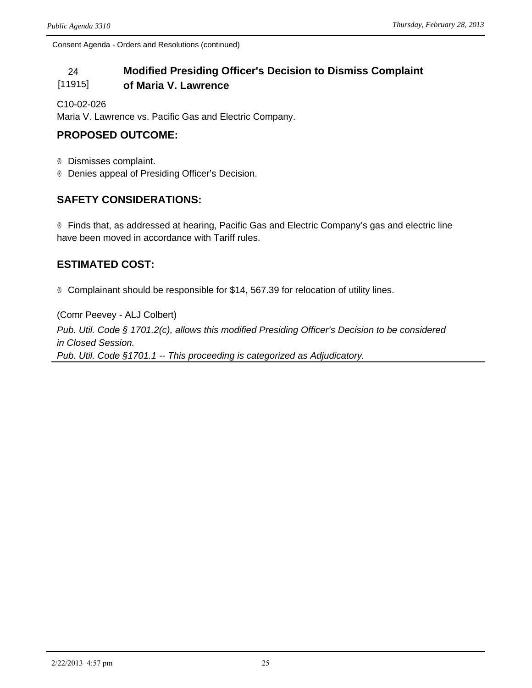#### 24 **Modified Presiding Officer's Decision to Dismiss Complaint**  [11915] **of Maria V. Lawrence**

C10-02-026

Maria V. Lawrence vs. Pacific Gas and Electric Company.

## **PROPOSED OUTCOME:**

® Dismisses complaint.

® Denies appeal of Presiding Officer's Decision.

## **SAFETY CONSIDERATIONS:**

® Finds that, as addressed at hearing, Pacific Gas and Electric Company's gas and electric line have been moved in accordance with Tariff rules.

## **ESTIMATED COST:**

® Complainant should be responsible for \$14, 567.39 for relocation of utility lines.

(Comr Peevey - ALJ Colbert) *Pub. Util. Code § 1701.2(c), allows this modified Presiding Officer's Decision to be considered in Closed Session. Pub. Util. Code §1701.1 -- This proceeding is categorized as Adjudicatory.*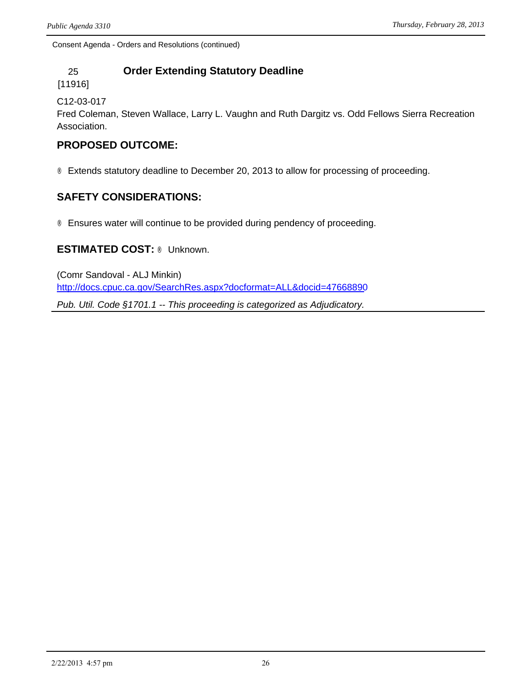## 25 **Order Extending Statutory Deadline**

[11916]

C12-03-017

Fred Coleman, Steven Wallace, Larry L. Vaughn and Ruth Dargitz vs. Odd Fellows Sierra Recreation Association.

## **PROPOSED OUTCOME:**

® Extends statutory deadline to December 20, 2013 to allow for processing of proceeding.

## **SAFETY CONSIDERATIONS:**

® Ensures water will continue to be provided during pendency of proceeding.

#### **ESTIMATED COST:** ® Unknown.

(Comr Sandoval - ALJ Minkin) <http://docs.cpuc.ca.gov/SearchRes.aspx?docformat=ALL&docid=47668890>

*Pub. Util. Code §1701.1 -- This proceeding is categorized as Adjudicatory.*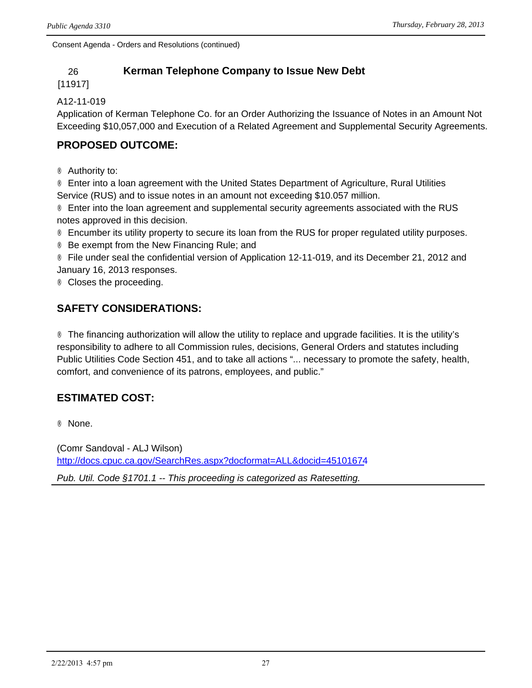## 26 **Kerman Telephone Company to Issue New Debt**

#### [11917]

#### A12-11-019

Application of Kerman Telephone Co. for an Order Authorizing the Issuance of Notes in an Amount Not Exceeding \$10,057,000 and Execution of a Related Agreement and Supplemental Security Agreements.

## **PROPOSED OUTCOME:**

® Authority to:

® Enter into a loan agreement with the United States Department of Agriculture, Rural Utilities Service (RUS) and to issue notes in an amount not exceeding \$10.057 million.

® Enter into the loan agreement and supplemental security agreements associated with the RUS notes approved in this decision.

® Encumber its utility property to secure its loan from the RUS for proper regulated utility purposes.

® Be exempt from the New Financing Rule; and

® File under seal the confidential version of Application 12-11-019, and its December 21, 2012 and January 16, 2013 responses.

® Closes the proceeding.

## **SAFETY CONSIDERATIONS:**

® The financing authorization will allow the utility to replace and upgrade facilities. It is the utility's responsibility to adhere to all Commission rules, decisions, General Orders and statutes including Public Utilities Code Section 451, and to take all actions "... necessary to promote the safety, health, comfort, and convenience of its patrons, employees, and public."

## **ESTIMATED COST:**

® None.

(Comr Sandoval - ALJ Wilson) <http://docs.cpuc.ca.gov/SearchRes.aspx?docformat=ALL&docid=45101674>

*Pub. Util. Code §1701.1 -- This proceeding is categorized as Ratesetting.*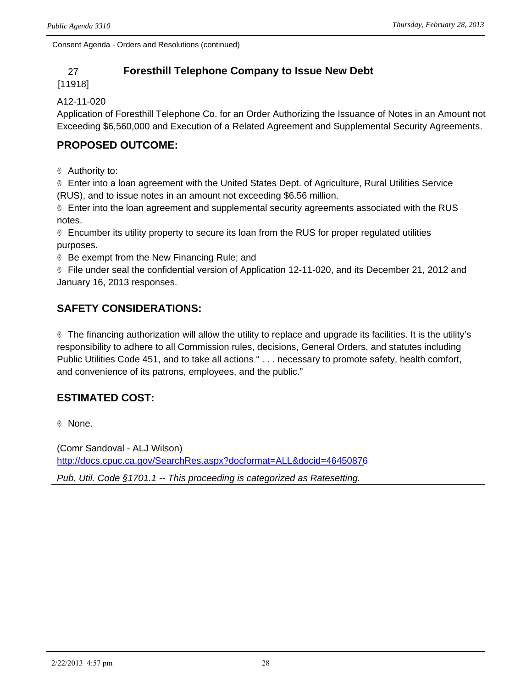## 27 **Foresthill Telephone Company to Issue New Debt**

#### [11918]

#### A12-11-020

Application of Foresthill Telephone Co. for an Order Authorizing the Issuance of Notes in an Amount not Exceeding \$6,560,000 and Execution of a Related Agreement and Supplemental Security Agreements.

## **PROPOSED OUTCOME:**

® Authority to:

® Enter into a loan agreement with the United States Dept. of Agriculture, Rural Utilities Service (RUS), and to issue notes in an amount not exceeding \$6.56 million.

® Enter into the loan agreement and supplemental security agreements associated with the RUS notes.

® Encumber its utility property to secure its loan from the RUS for proper regulated utilities purposes.

® Be exempt from the New Financing Rule; and

® File under seal the confidential version of Application 12-11-020, and its December 21, 2012 and January 16, 2013 responses.

## **SAFETY CONSIDERATIONS:**

® The financing authorization will allow the utility to replace and upgrade its facilities. It is the utility's responsibility to adhere to all Commission rules, decisions, General Orders, and statutes including Public Utilities Code 451, and to take all actions " . . . necessary to promote safety, health comfort, and convenience of its patrons, employees, and the public."

## **ESTIMATED COST:**

® None.

(Comr Sandoval - ALJ Wilson) <http://docs.cpuc.ca.gov/SearchRes.aspx?docformat=ALL&docid=46450876>

*Pub. Util. Code §1701.1 -- This proceeding is categorized as Ratesetting.*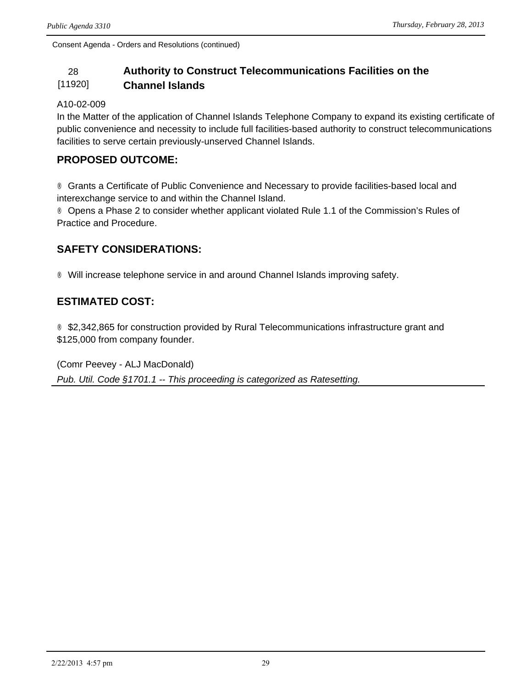#### 28 **Authority to Construct Telecommunications Facilities on the**  [11920] **Channel Islands**

#### A10-02-009

In the Matter of the application of Channel Islands Telephone Company to expand its existing certificate of public convenience and necessity to include full facilities-based authority to construct telecommunications facilities to serve certain previously-unserved Channel Islands.

### **PROPOSED OUTCOME:**

® Grants a Certificate of Public Convenience and Necessary to provide facilities-based local and interexchange service to and within the Channel Island.

® Opens a Phase 2 to consider whether applicant violated Rule 1.1 of the Commission's Rules of Practice and Procedure.

## **SAFETY CONSIDERATIONS:**

® Will increase telephone service in and around Channel Islands improving safety.

## **ESTIMATED COST:**

® \$2,342,865 for construction provided by Rural Telecommunications infrastructure grant and \$125,000 from company founder.

(Comr Peevey - ALJ MacDonald) *Pub. Util. Code §1701.1 -- This proceeding is categorized as Ratesetting.*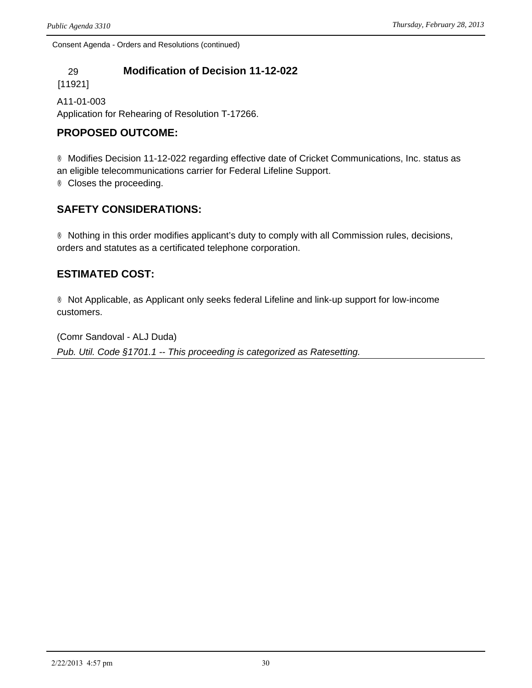## 29 **Modification of Decision 11-12-022**

[11921]

A11-01-003 Application for Rehearing of Resolution T-17266.

## **PROPOSED OUTCOME:**

® Modifies Decision 11-12-022 regarding effective date of Cricket Communications, Inc. status as an eligible telecommunications carrier for Federal Lifeline Support.

® Closes the proceeding.

## **SAFETY CONSIDERATIONS:**

® Nothing in this order modifies applicant's duty to comply with all Commission rules, decisions, orders and statutes as a certificated telephone corporation.

## **ESTIMATED COST:**

® Not Applicable, as Applicant only seeks federal Lifeline and link-up support for low-income customers.

(Comr Sandoval - ALJ Duda) *Pub. Util. Code §1701.1 -- This proceeding is categorized as Ratesetting.*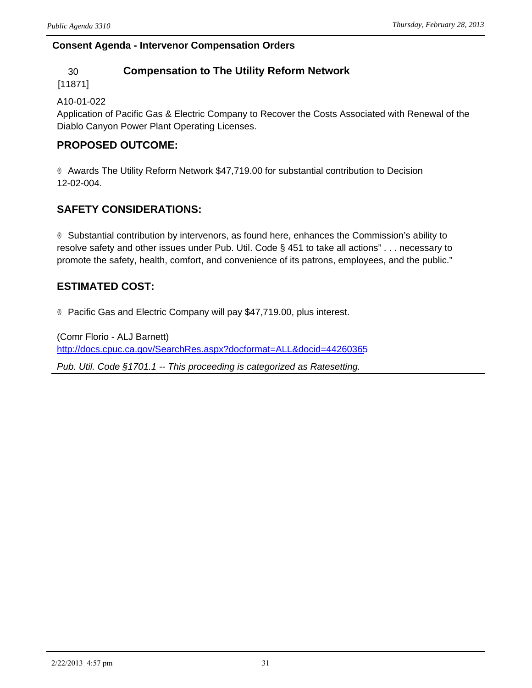### **Consent Agenda - Intervenor Compensation Orders**

## 30 **Compensation to The Utility Reform Network**

[11871]

#### A10-01-022

Application of Pacific Gas & Electric Company to Recover the Costs Associated with Renewal of the Diablo Canyon Power Plant Operating Licenses.

## **PROPOSED OUTCOME:**

® Awards The Utility Reform Network \$47,719.00 for substantial contribution to Decision 12-02-004.

## **SAFETY CONSIDERATIONS:**

® Substantial contribution by intervenors, as found here, enhances the Commission's ability to resolve safety and other issues under Pub. Util. Code § 451 to take all actions" . . . necessary to promote the safety, health, comfort, and convenience of its patrons, employees, and the public."

## **ESTIMATED COST:**

® Pacific Gas and Electric Company will pay \$47,719.00, plus interest.

(Comr Florio - ALJ Barnett) <http://docs.cpuc.ca.gov/SearchRes.aspx?docformat=ALL&docid=44260365> *Pub. Util. Code §1701.1 -- This proceeding is categorized as Ratesetting.*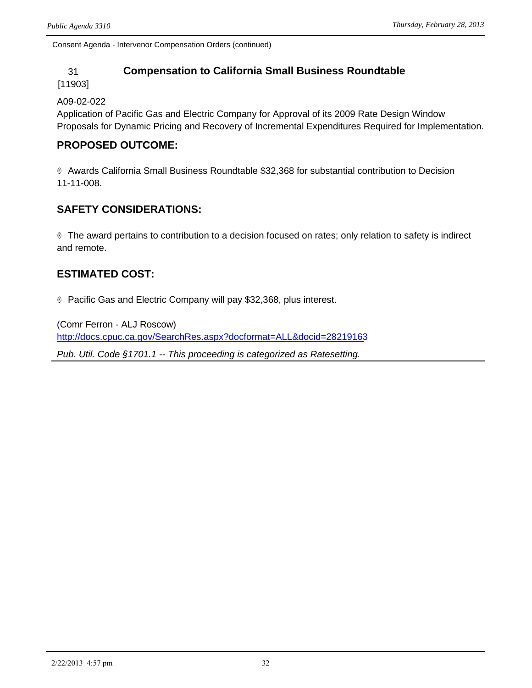Consent Agenda - Intervenor Compensation Orders (continued)

#### 31 **Compensation to California Small Business Roundtable**

#### [11903]

#### A09-02-022

Application of Pacific Gas and Electric Company for Approval of its 2009 Rate Design Window Proposals for Dynamic Pricing and Recovery of Incremental Expenditures Required for Implementation.

#### **PROPOSED OUTCOME:**

® Awards California Small Business Roundtable \$32,368 for substantial contribution to Decision 11-11-008.

## **SAFETY CONSIDERATIONS:**

® The award pertains to contribution to a decision focused on rates; only relation to safety is indirect and remote.

## **ESTIMATED COST:**

® Pacific Gas and Electric Company will pay \$32,368, plus interest.

(Comr Ferron - ALJ Roscow) <http://docs.cpuc.ca.gov/SearchRes.aspx?docformat=ALL&docid=28219163> *Pub. Util. Code §1701.1 -- This proceeding is categorized as Ratesetting.*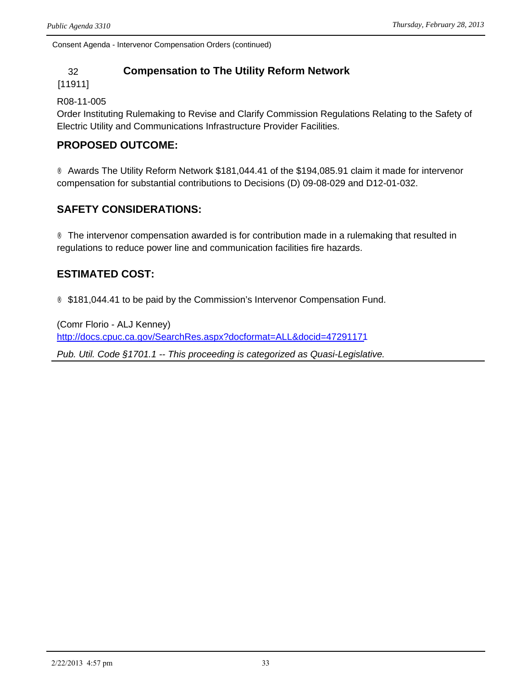Consent Agenda - Intervenor Compensation Orders (continued)

### 32 **Compensation to The Utility Reform Network**

[11911]

R08-11-005

Order Instituting Rulemaking to Revise and Clarify Commission Regulations Relating to the Safety of Electric Utility and Communications Infrastructure Provider Facilities.

#### **PROPOSED OUTCOME:**

® Awards The Utility Reform Network \$181,044.41 of the \$194,085.91 claim it made for intervenor compensation for substantial contributions to Decisions (D) 09-08-029 and D12-01-032.

## **SAFETY CONSIDERATIONS:**

® The intervenor compensation awarded is for contribution made in a rulemaking that resulted in regulations to reduce power line and communication facilities fire hazards.

## **ESTIMATED COST:**

® \$181,044.41 to be paid by the Commission's Intervenor Compensation Fund.

(Comr Florio - ALJ Kenney) <http://docs.cpuc.ca.gov/SearchRes.aspx?docformat=ALL&docid=47291171> *Pub. Util. Code §1701.1 -- This proceeding is categorized as Quasi-Legislative.*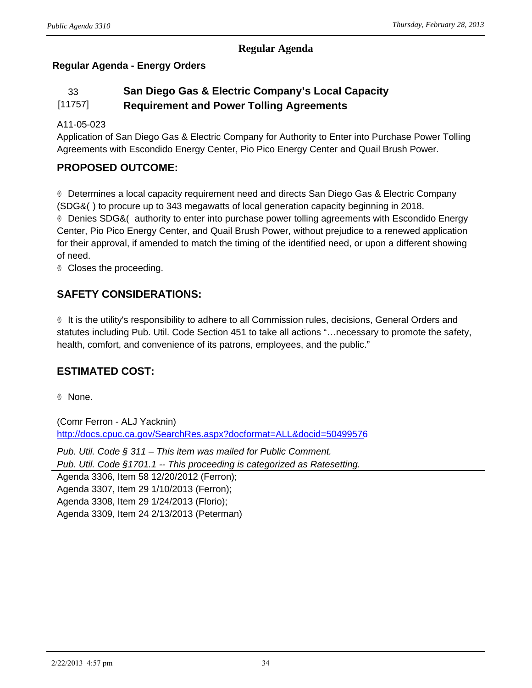#### **Regular Agenda**

## **Regular Agenda - Energy Orders**

#### 33 **San Diego Gas & Electric Company's Local Capacity**  [11757] **Requirement and Power Tolling Agreements**

#### A11-05-023

Application of San Diego Gas & Electric Company for Authority to Enter into Purchase Power Tolling Agreements with Escondido Energy Center, Pio Pico Energy Center and Quail Brush Power.

## **PROPOSED OUTCOME:**

® Determines a local capacity requirement need and directs San Diego Gas & Electric Company (SDG&() to procure up to 343 megawatts of local generation capacity beginning in 2018. ® Denies SDG&( authority to enter into purchase power tolling agreements with Escondido Energy Center, Pio Pico Energy Center, and Quail Brush Power, without prejudice to a renewed application for their approval, if amended to match the timing of the identified need, or upon a different showing of need.

® Closes the proceeding.

## **SAFETY CONSIDERATIONS:**

® It is the utility's responsibility to adhere to all Commission rules, decisions, General Orders and statutes including Pub. Util. Code Section 451 to take all actions "…necessary to promote the safety, health, comfort, and convenience of its patrons, employees, and the public."

## **ESTIMATED COST:**

® None.

(Comr Ferron - ALJ Yacknin) <http://docs.cpuc.ca.gov/SearchRes.aspx?docformat=ALL&docid=50499576>

*Pub. Util. Code § 311 – This item was mailed for Public Comment. Pub. Util. Code §1701.1 -- This proceeding is categorized as Ratesetting.*

Agenda 3306, Item 58 12/20/2012 (Ferron); Agenda 3307, Item 29 1/10/2013 (Ferron); Agenda 3308, Item 29 1/24/2013 (Florio); Agenda 3309, Item 24 2/13/2013 (Peterman)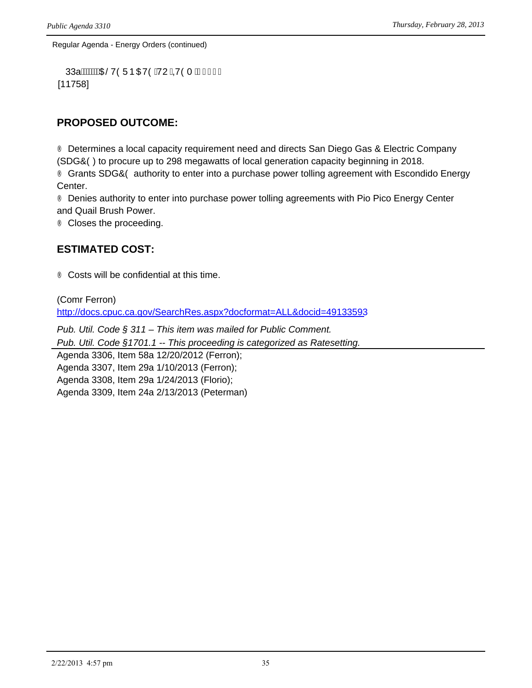Regular Agenda - Energy Orders (continued)

```
33al WA CONCEY CONCEY CONCERT AND THE TILL
[11758]
```
## **PROPOSED OUTCOME:**

® Determines a local capacity requirement need and directs San Diego Gas & Electric Company (SDG&() to procure up to 298 megawatts of local generation capacity beginning in 2018. ® Grants SDG&O authority to enter into a purchase power tolling agreement with Escondido Energy Center.

® Denies authority to enter into purchase power tolling agreements with Pio Pico Energy Center and Quail Brush Power.

® Closes the proceeding.

## **ESTIMATED COST:**

® Costs will be confidential at this time.

(Comr Ferron) <http://docs.cpuc.ca.gov/SearchRes.aspx?docformat=ALL&docid=49133593>

*Pub. Util. Code § 311 – This item was mailed for Public Comment.*

*Pub. Util. Code §1701.1 -- This proceeding is categorized as Ratesetting.*

Agenda 3306, Item 58a 12/20/2012 (Ferron); Agenda 3307, Item 29a 1/10/2013 (Ferron); Agenda 3308, Item 29a 1/24/2013 (Florio); Agenda 3309, Item 24a 2/13/2013 (Peterman)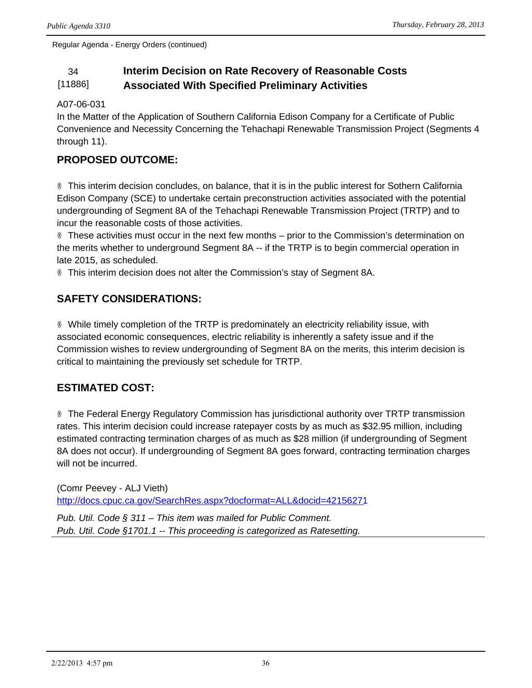Regular Agenda - Energy Orders (continued)

#### 34 **Interim Decision on Rate Recovery of Reasonable Costs**  [11886] **Associated With Specified Preliminary Activities**

#### A07-06-031

In the Matter of the Application of Southern California Edison Company for a Certificate of Public Convenience and Necessity Concerning the Tehachapi Renewable Transmission Project (Segments 4 through 11).

## **PROPOSED OUTCOME:**

® This interim decision concludes, on balance, that it is in the public interest for Sothern California Edison Company (SCE) to undertake certain preconstruction activities associated with the potential undergrounding of Segment 8A of the Tehachapi Renewable Transmission Project (TRTP) and to incur the reasonable costs of those activities.

® These activities must occur in the next few months – prior to the Commission's determination on the merits whether to underground Segment 8A -- if the TRTP is to begin commercial operation in late 2015, as scheduled.

® This interim decision does not alter the Commission's stay of Segment 8A.

## **SAFETY CONSIDERATIONS:**

® While timely completion of the TRTP is predominately an electricity reliability issue, with associated economic consequences, electric reliability is inherently a safety issue and if the Commission wishes to review undergrounding of Segment 8A on the merits, this interim decision is critical to maintaining the previously set schedule for TRTP.

## **ESTIMATED COST:**

® The Federal Energy Regulatory Commission has jurisdictional authority over TRTP transmission rates. This interim decision could increase ratepayer costs by as much as \$32.95 million, including estimated contracting termination charges of as much as \$28 million (if undergrounding of Segment 8A does not occur). If undergrounding of Segment 8A goes forward, contracting termination charges will not be incurred.

(Comr Peevey - ALJ Vieth) <http://docs.cpuc.ca.gov/SearchRes.aspx?docformat=ALL&docid=42156271>

*Pub. Util. Code § 311 – This item was mailed for Public Comment. Pub. Util. Code §1701.1 -- This proceeding is categorized as Ratesetting.*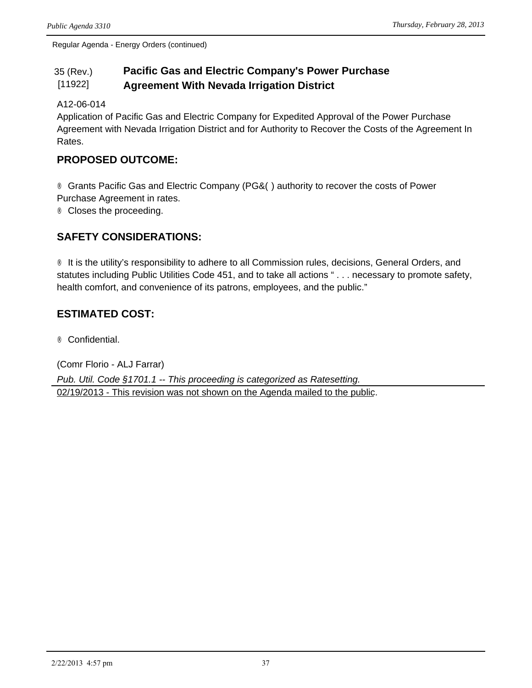Regular Agenda - Energy Orders (continued)

#### 35 (Rev.) [11922] **Pacific Gas and Electric Company's Power Purchase Agreement With Nevada Irrigation District**

#### A12-06-014

Application of Pacific Gas and Electric Company for Expedited Approval of the Power Purchase Agreement with Nevada Irrigation District and for Authority to Recover the Costs of the Agreement In Rates.

### **PROPOSED OUTCOME:**

® Grants Pacific Gas and Electric Company (PG&O) authority to recover the costs of Power Purchase Agreement in rates.

® Closes the proceeding.

## **SAFETY CONSIDERATIONS:**

® It is the utility's responsibility to adhere to all Commission rules, decisions, General Orders, and statutes including Public Utilities Code 451, and to take all actions " . . . necessary to promote safety, health comfort, and convenience of its patrons, employees, and the public."

## **ESTIMATED COST:**

® Confidential.

(Comr Florio - ALJ Farrar) *Pub. Util. Code §1701.1 -- This proceeding is categorized as Ratesetting.* 02/19/2013 - This revision was not shown on the Agenda mailed to the public.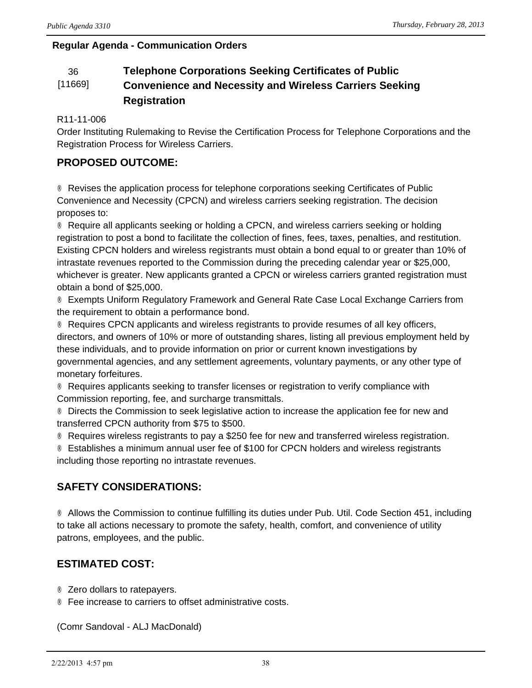#### **Regular Agenda - Communication Orders**

#### 36 **Telephone Corporations Seeking Certificates of Public**  [11669] **Convenience and Necessity and Wireless Carriers Seeking Registration**

#### R11-11-006

Order Instituting Rulemaking to Revise the Certification Process for Telephone Corporations and the Registration Process for Wireless Carriers.

## **PROPOSED OUTCOME:**

® Revises the application process for telephone corporations seeking Certificates of Public Convenience and Necessity (CPCN) and wireless carriers seeking registration. The decision proposes to:

® Require all applicants seeking or holding a CPCN, and wireless carriers seeking or holding registration to post a bond to facilitate the collection of fines, fees, taxes, penalties, and restitution. Existing CPCN holders and wireless registrants must obtain a bond equal to or greater than 10% of intrastate revenues reported to the Commission during the preceding calendar year or \$25,000, whichever is greater. New applicants granted a CPCN or wireless carriers granted registration must obtain a bond of \$25,000.

® Exempts Uniform Regulatory Framework and General Rate Case Local Exchange Carriers from the requirement to obtain a performance bond.

® Requires CPCN applicants and wireless registrants to provide resumes of all key officers, directors, and owners of 10% or more of outstanding shares, listing all previous employment held by these individuals, and to provide information on prior or current known investigations by governmental agencies, and any settlement agreements, voluntary payments, or any other type of monetary forfeitures.

® Requires applicants seeking to transfer licenses or registration to verify compliance with Commission reporting, fee, and surcharge transmittals.

® Directs the Commission to seek legislative action to increase the application fee for new and transferred CPCN authority from \$75 to \$500.

® Requires wireless registrants to pay a \$250 fee for new and transferred wireless registration.

® Establishes a minimum annual user fee of \$100 for CPCN holders and wireless registrants including those reporting no intrastate revenues.

## **SAFETY CONSIDERATIONS:**

® Allows the Commission to continue fulfilling its duties under Pub. Util. Code Section 451, including to take all actions necessary to promote the safety, health, comfort, and convenience of utility patrons, employees, and the public.

## **ESTIMATED COST:**

® Zero dollars to ratepayers.

® Fee increase to carriers to offset administrative costs.

(Comr Sandoval - ALJ MacDonald)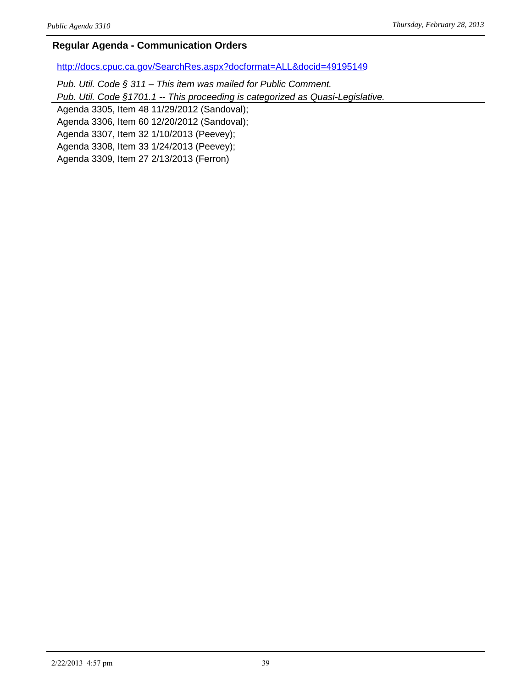#### **Regular Agenda - Communication Orders**

<http://docs.cpuc.ca.gov/SearchRes.aspx?docformat=ALL&docid=49195149>

*Pub. Util. Code § 311 – This item was mailed for Public Comment.*

*Pub. Util. Code §1701.1 -- This proceeding is categorized as Quasi-Legislative.*

Agenda 3305, Item 48 11/29/2012 (Sandoval);

Agenda 3306, Item 60 12/20/2012 (Sandoval);

Agenda 3307, Item 32 1/10/2013 (Peevey);

Agenda 3308, Item 33 1/24/2013 (Peevey);

Agenda 3309, Item 27 2/13/2013 (Ferron)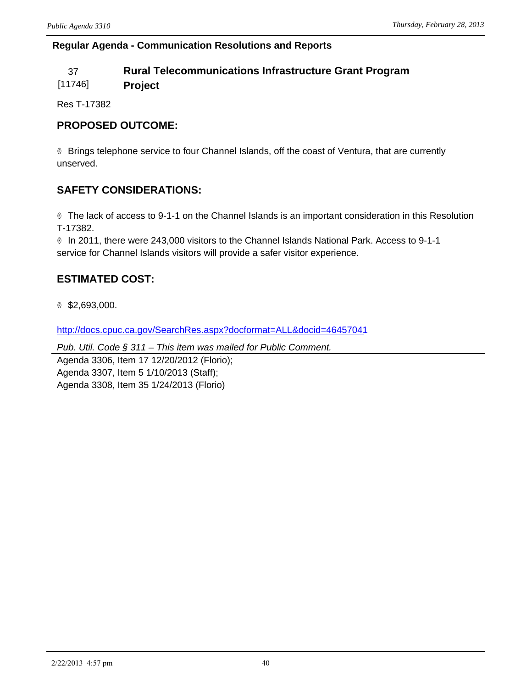#### **Regular Agenda - Communication Resolutions and Reports**

## 37 **Rural Telecommunications Infrastructure Grant Program**

[11746] **Project** 

Res T-17382

## **PROPOSED OUTCOME:**

® Brings telephone service to four Channel Islands, off the coast of Ventura, that are currently unserved.

## **SAFETY CONSIDERATIONS:**

® The lack of access to 9-1-1 on the Channel Islands is an important consideration in this Resolution T-17382.

® In 2011, there were 243,000 visitors to the Channel Islands National Park. Access to 9-1-1 service for Channel Islands visitors will provide a safer visitor experience.

## **ESTIMATED COST:**

® \$2,693,000.

<http://docs.cpuc.ca.gov/SearchRes.aspx?docformat=ALL&docid=46457041>

*Pub. Util. Code § 311 – This item was mailed for Public Comment.*

Agenda 3306, Item 17 12/20/2012 (Florio); Agenda 3307, Item 5 1/10/2013 (Staff); Agenda 3308, Item 35 1/24/2013 (Florio)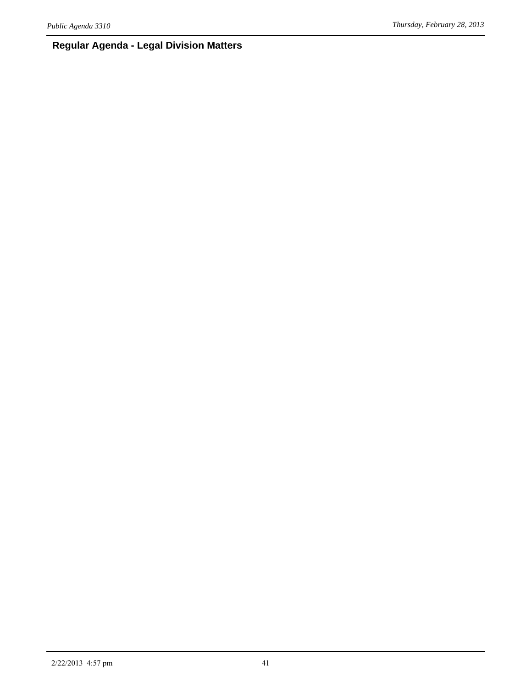## **Regular Agenda - Legal Division Matters**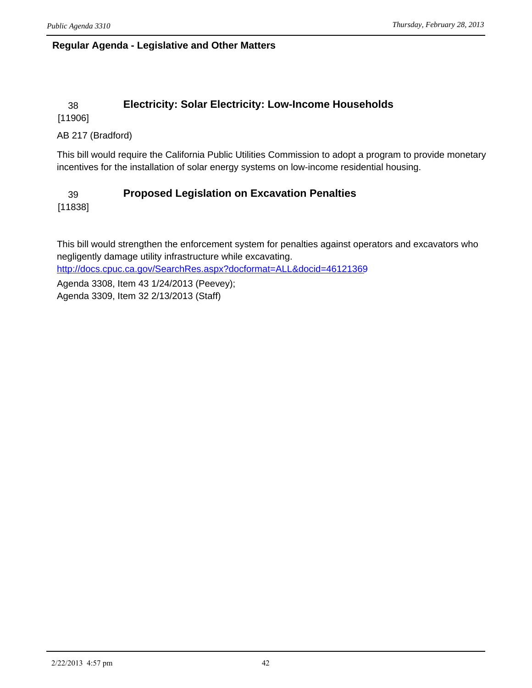#### **Regular Agenda - Legislative and Other Matters**

## 38 **Electricity: Solar Electricity: Low-Income Households**

[11906]

#### AB 217 (Bradford)

This bill would require the California Public Utilities Commission to adopt a program to provide monetary incentives for the installation of solar energy systems on low-income residential housing.

## 39 **Proposed Legislation on Excavation Penalties**

[11838]

This bill would strengthen the enforcement system for penalties against operators and excavators who negligently damage utility infrastructure while excavating.

<http://docs.cpuc.ca.gov/SearchRes.aspx?docformat=ALL&docid=46121369>

Agenda 3308, Item 43 1/24/2013 (Peevey); Agenda 3309, Item 32 2/13/2013 (Staff)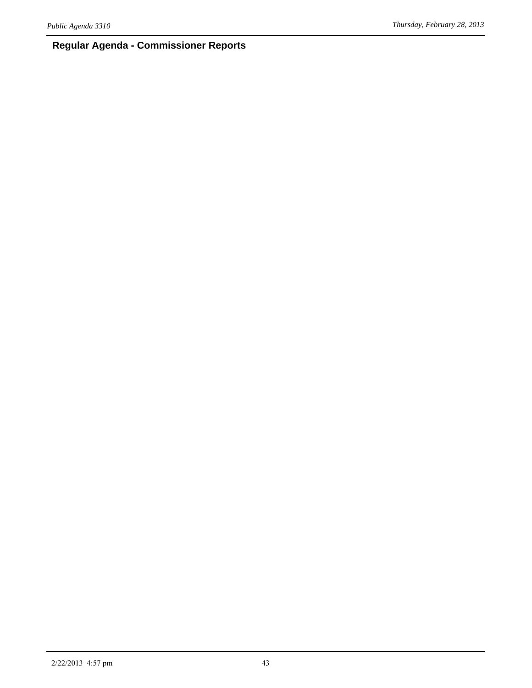## **Regular Agenda - Commissioner Reports**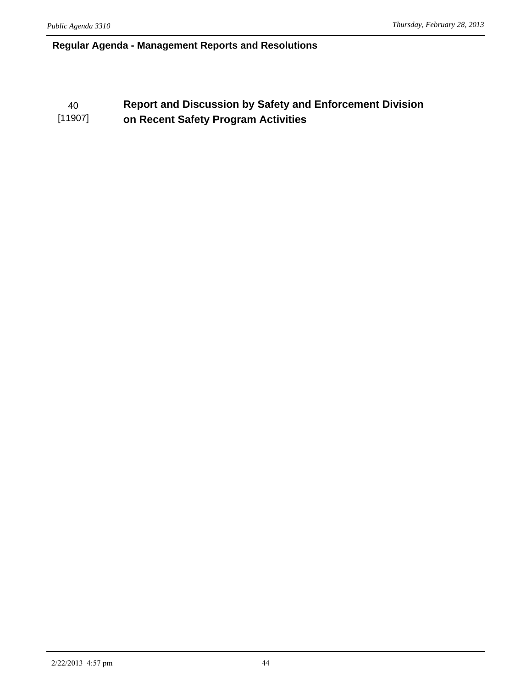#### **Regular Agenda - Management Reports and Resolutions**

#### 40 **Report and Discussion by Safety and Enforcement Division**  [11907] **on Recent Safety Program Activities**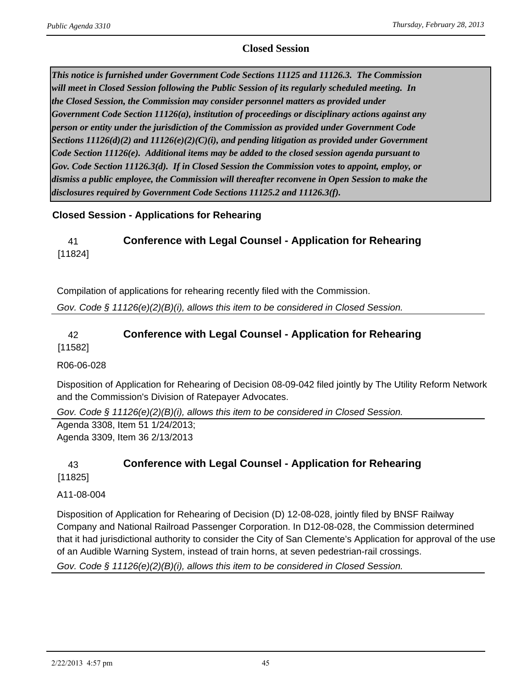#### **Closed Session**

*This notice is furnished under Government Code Sections 11125 and 11126.3. The Commission will meet in Closed Session following the Public Session of its regularly scheduled meeting. In the Closed Session, the Commission may consider personnel matters as provided under Government Code Section 11126(a), institution of proceedings or disciplinary actions against any person or entity under the jurisdiction of the Commission as provided under Government Code Sections 11126(d)(2) and 11126(e)(2)(C)(i), and pending litigation as provided under Government Code Section 11126(e). Additional items may be added to the closed session agenda pursuant to Gov. Code Section 11126.3(d). If in Closed Session the Commission votes to appoint, employ, or dismiss a public employee, the Commission will thereafter reconvene in Open Session to make the disclosures required by Government Code Sections 11125.2 and 11126.3(f).*

#### **Closed Session - Applications for Rehearing**

#### 41 **Conference with Legal Counsel - Application for Rehearing** [11824]

Compilation of applications for rehearing recently filed with the Commission.

*Gov. Code § 11126(e)(2)(B)(i), allows this item to be considered in Closed Session.*

# 42 **Conference with Legal Counsel - Application for Rehearing**

[11582]

#### R06-06-028

Disposition of Application for Rehearing of Decision 08-09-042 filed jointly by The Utility Reform Network and the Commission's Division of Ratepayer Advocates.

*Gov. Code § 11126(e)(2)(B)(i), allows this item to be considered in Closed Session.*

Agenda 3308, Item 51 1/24/2013; Agenda 3309, Item 36 2/13/2013

## 43 **Conference with Legal Counsel - Application for Rehearing**

[11825]

#### A11-08-004

Disposition of Application for Rehearing of Decision (D) 12-08-028, jointly filed by BNSF Railway Company and National Railroad Passenger Corporation. In D12-08-028, the Commission determined that it had jurisdictional authority to consider the City of San Clemente's Application for approval of the use of an Audible Warning System, instead of train horns, at seven pedestrian-rail crossings.

*Gov. Code § 11126(e)(2)(B)(i), allows this item to be considered in Closed Session.*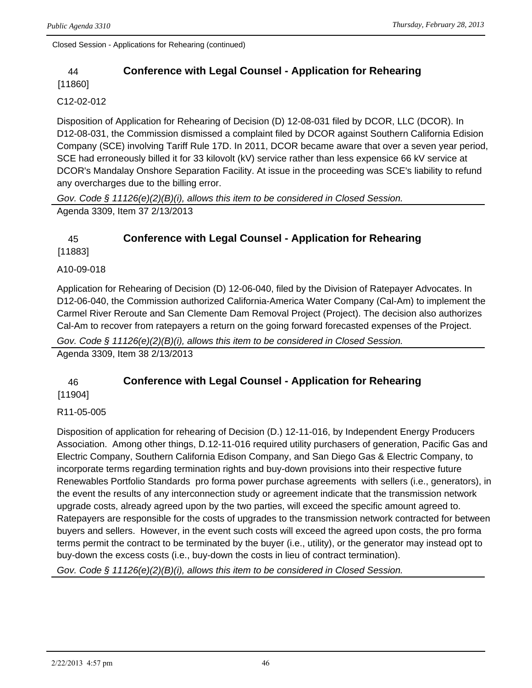Closed Session - Applications for Rehearing (continued)

## 44 **Conference with Legal Counsel - Application for Rehearing**

[11860]

#### C12-02-012

Disposition of Application for Rehearing of Decision (D) 12-08-031 filed by DCOR, LLC (DCOR). In D12-08-031, the Commission dismissed a complaint filed by DCOR against Southern California Edision Company (SCE) involving Tariff Rule 17D. In 2011, DCOR became aware that over a seven year period, SCE had erroneously billed it for 33 kilovolt (kV) service rather than less expensice 66 kV service at DCOR's Mandalay Onshore Separation Facility. At issue in the proceeding was SCE's liability to refund any overcharges due to the billing error.

*Gov. Code § 11126(e)(2)(B)(i), allows this item to be considered in Closed Session.* Agenda 3309, Item 37 2/13/2013

## 45 **Conference with Legal Counsel - Application for Rehearing**

[11883]

#### A10-09-018

Application for Rehearing of Decision (D) 12-06-040, filed by the Division of Ratepayer Advocates. In D12-06-040, the Commission authorized California-America Water Company (Cal-Am) to implement the Carmel River Reroute and San Clemente Dam Removal Project (Project). The decision also authorizes Cal-Am to recover from ratepayers a return on the going forward forecasted expenses of the Project.

*Gov. Code § 11126(e)(2)(B)(i), allows this item to be considered in Closed Session.*

Agenda 3309, Item 38 2/13/2013

## 46 **Conference with Legal Counsel - Application for Rehearing**

[11904]

R11-05-005

Disposition of application for rehearing of Decision (D.) 12-11-016, by Independent Energy Producers Association. Among other things, D.12-11-016 required utility purchasers of generation, Pacific Gas and Electric Company, Southern California Edison Company, and San Diego Gas & Electric Company, to incorporate terms regarding termination rights and buy-down provisions into their respective future Renewables Portfolio Standards pro forma power purchase agreements with sellers (i.e., generators), in the event the results of any interconnection study or agreement indicate that the transmission network upgrade costs, already agreed upon by the two parties, will exceed the specific amount agreed to. Ratepayers are responsible for the costs of upgrades to the transmission network contracted for between buyers and sellers. However, in the event such costs will exceed the agreed upon costs, the pro forma terms permit the contract to be terminated by the buyer (i.e., utility), or the generator may instead opt to buy-down the excess costs (i.e., buy-down the costs in lieu of contract termination).

*Gov. Code § 11126(e)(2)(B)(i), allows this item to be considered in Closed Session.*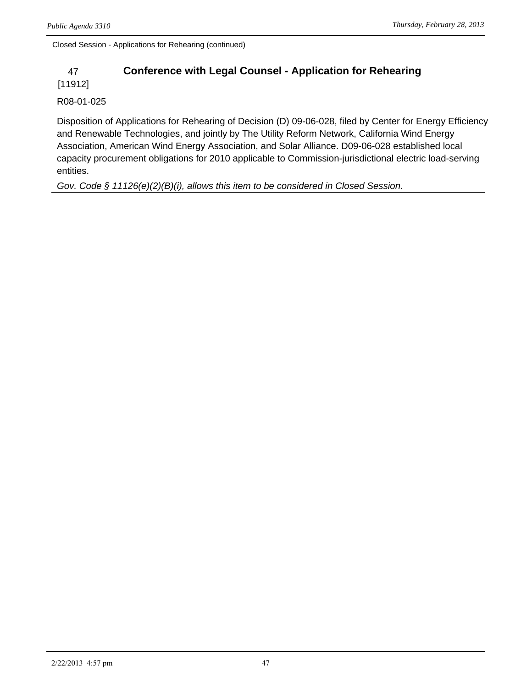Closed Session - Applications for Rehearing (continued)

## 47 **Conference with Legal Counsel - Application for Rehearing**

[11912]

R08-01-025

Disposition of Applications for Rehearing of Decision (D) 09-06-028, filed by Center for Energy Efficiency and Renewable Technologies, and jointly by The Utility Reform Network, California Wind Energy Association, American Wind Energy Association, and Solar Alliance. D09-06-028 established local capacity procurement obligations for 2010 applicable to Commission-jurisdictional electric load-serving entities.

*Gov. Code § 11126(e)(2)(B)(i), allows this item to be considered in Closed Session.*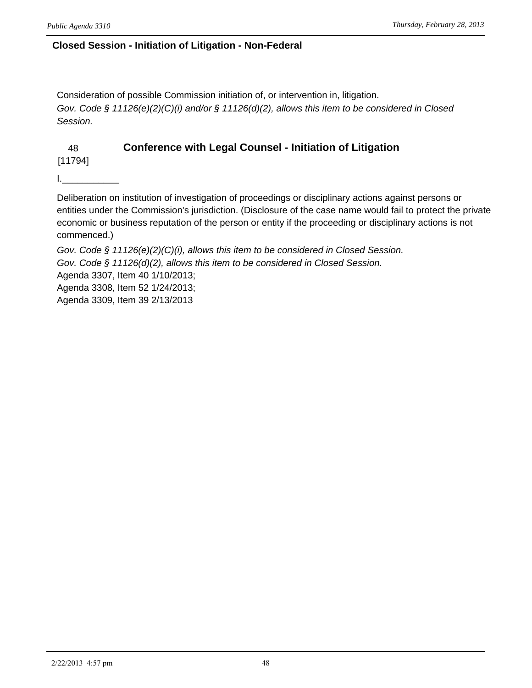#### **Closed Session - Initiation of Litigation - Non-Federal**

Consideration of possible Commission initiation of, or intervention in, litigation. *Gov. Code § 11126(e)(2)(C)(i) and/or § 11126(d)(2), allows this item to be considered in Closed Session.*

## 48 **Conference with Legal Counsel - Initiation of Litigation**

[11794]

I.\_\_\_\_\_\_\_\_\_\_\_

Deliberation on institution of investigation of proceedings or disciplinary actions against persons or entities under the Commission's jurisdiction. (Disclosure of the case name would fail to protect the private economic or business reputation of the person or entity if the proceeding or disciplinary actions is not commenced.)

*Gov. Code § 11126(e)(2)(C)(i), allows this item to be considered in Closed Session. Gov. Code § 11126(d)(2), allows this item to be considered in Closed Session.*

Agenda 3307, Item 40 1/10/2013; Agenda 3308, Item 52 1/24/2013; Agenda 3309, Item 39 2/13/2013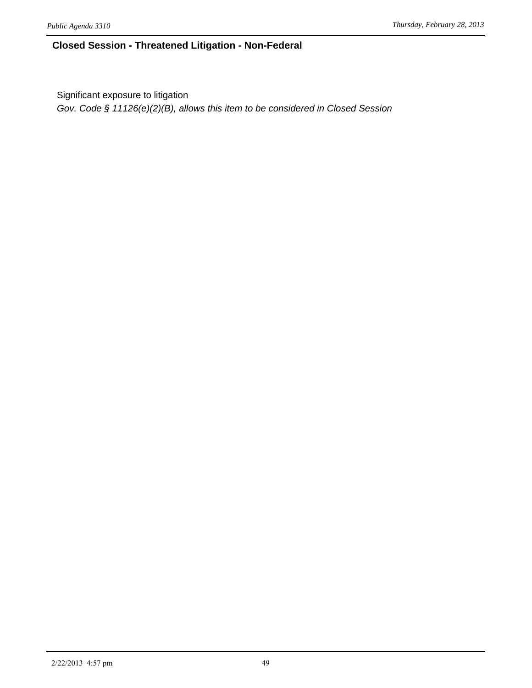#### **Closed Session - Threatened Litigation - Non-Federal**

Significant exposure to litigation

*Gov. Code § 11126(e)(2)(B), allows this item to be considered in Closed Session*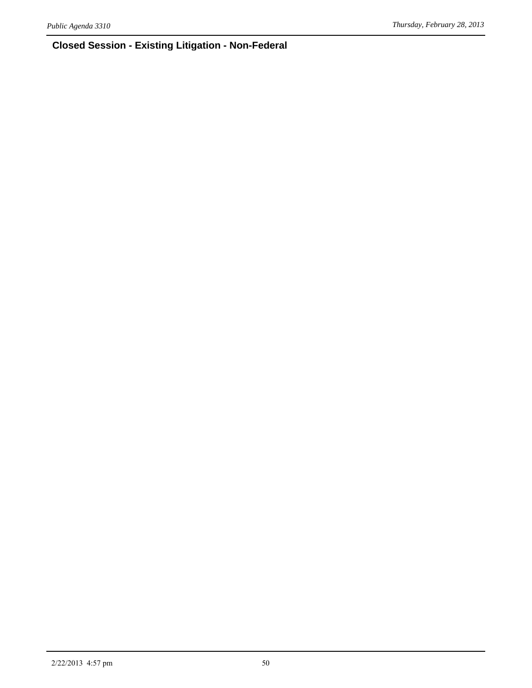## **Closed Session - Existing Litigation - Non-Federal**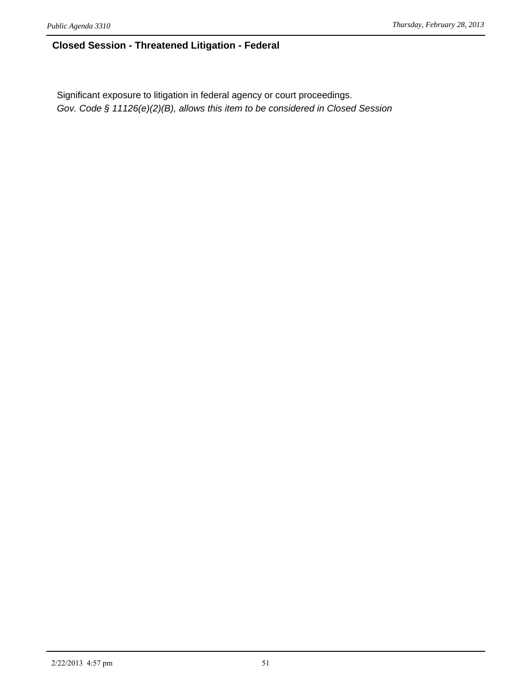### **Closed Session - Threatened Litigation - Federal**

Significant exposure to litigation in federal agency or court proceedings. *Gov. Code § 11126(e)(2)(B), allows this item to be considered in Closed Session*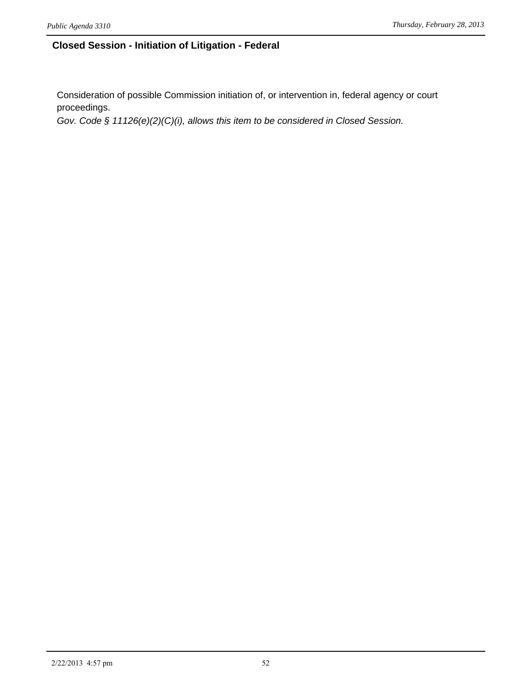#### **Closed Session - Initiation of Litigation - Federal**

Consideration of possible Commission initiation of, or intervention in, federal agency or court proceedings.

*Gov. Code § 11126(e)(2)(C)(i), allows this item to be considered in Closed Session.*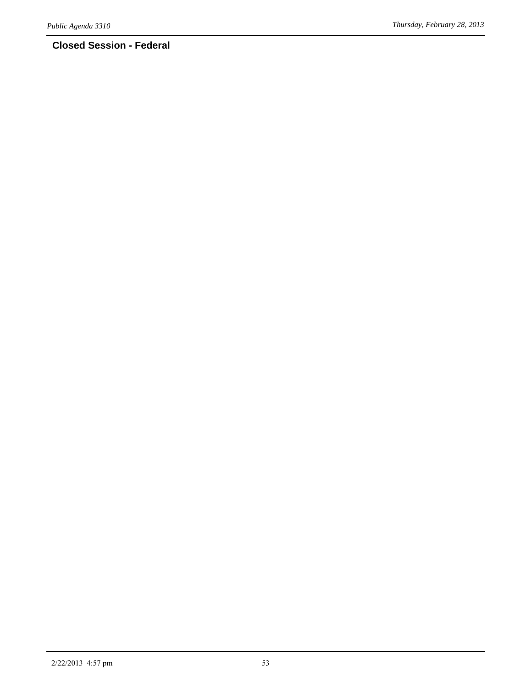## **Closed Session - Federal**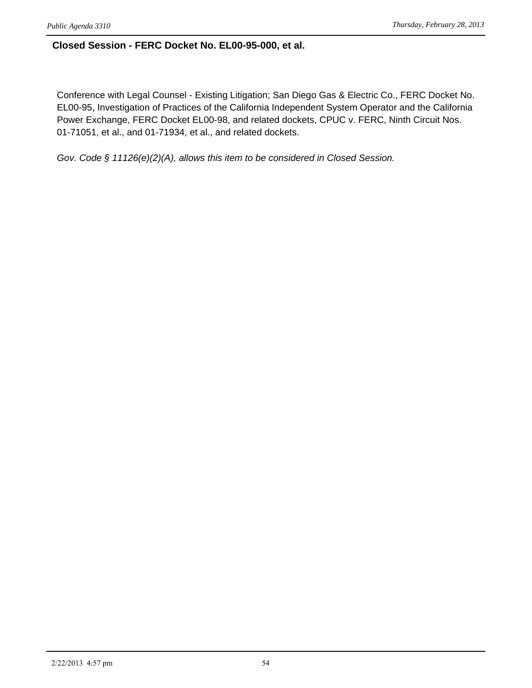#### **Closed Session - FERC Docket No. EL00-95-000, et al.**

Conference with Legal Counsel - Existing Litigation; San Diego Gas & Electric Co., FERC Docket No. EL00-95, Investigation of Practices of the California Independent System Operator and the California Power Exchange, FERC Docket EL00-98, and related dockets, CPUC v. FERC, Ninth Circuit Nos. 01-71051, et al., and 01-71934, et al., and related dockets.

*Gov. Code § 11126(e)(2)(A), allows this item to be considered in Closed Session.*